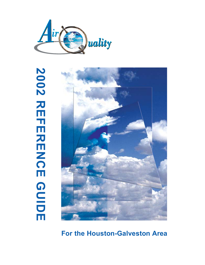

# **2002 REFERENCE GUIDE GUIDE 2002 REFERENCE GUIDE REFERENCE**



# **For the Houston-Galveston Area**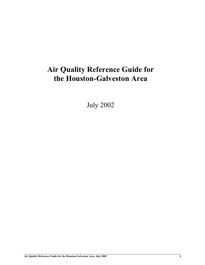# **Air Quality Reference Guide for the Houston-Galveston Area**

July 2002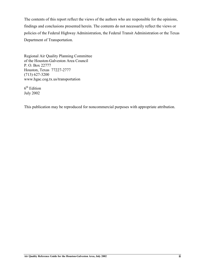The contents of this report reflect the views of the authors who are responsible for the opinions, findings and conclusions presented herein. The contents do not necessarily reflect the views or policies of the Federal Highway Administration, the Federal Transit Administration or the Texas Department of Transportation.

Regional Air Quality Planning Committee of the Houston-Galveston Area Council P. O. Box 22777 Houston, Texas 77227-2777 (713) 627-3200 www.hgac.cog.tx.us/transportation

 $6<sup>th</sup>$  Edition July 2002

This publication may be reproduced for noncommercial purposes with appropriate attribution.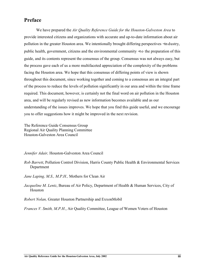## **Preface**

We have prepared the *Air Quality Reference Guide for the Houston-Galveston Area* to provide interested citizens and organizations with accurate and up-to-date information about air pollution in the greater Houston area. We intentionally brought differing perspectives – in dustry, public health, government, citizens and the environmental community – to the preparation of this guide, and its contents represent the consensus of the group. Consensus was not always easy, but the process gave each of us a more multifaceted appreciation of the complexity of the problems facing the Houston area. We hope that this consensus of differing points of view is shown throughout this document, since working together and coming to a consensus are an integral part of the process to reduce the levels of pollution significantly in our area and within the time frame required. This document, however, is certainly not the final word on air pollution in the Houston area, and will be regularly revised as new information becomes available and as our understanding of the issues improves. We hope that you find this guide useful, and we encourage you to offer suggestions how it might be improved in the next revision.

The Reference Guide Consensus Group Regional Air Quality Planning Committee Houston-Galveston Area Council

*Jennifer Adair,* Houston-Galveston Area Council

- *Rob Barrett*, Pollution Control Division, Harris County Public Health & Environmental Services Department
- *Jane Laping, M.S., M.P.H.,* Mothers for Clean Air
- *Jacqueline M. Lentz*, Bureau of Air Policy, Department of Health & Human Services, City of Houston

*Robert Nolan,* Greater Houston Partnership and ExxonMobil

*Frances V. Smith, M.P.H.*, Air Quality Committee, League of Women Voters of Houston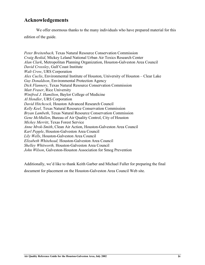## **Acknowledgements**

We offer enormous thanks to the many individuals who have prepared material for this edition of the guide.

*Peter Breitenbach,* Texas Natural Resource Conservation Commission *Craig Beskid*, Mickey Leland National Urban Air Toxics Research Center *Alan Clark*, Metropolitan Planning Organization, Houston-Galveston Area Council *David Crossley*, Gulf Coast Institute *Walt Crow*, URS Corporation *Alex Cuclis*, Environmental Institute of Houston, University of Houston – Clear Lake *Guy Donaldson*, Environmental Protection Agency *Dick Flannery*, Texas Natural Resource Conservation Commission *Matt Fraser*, Rice University *Winifred J. Hamilton*, Baylor College of Medicine *Al Hendler*, URS Corporation *David Hitchcock,* Houston Advanced Research Council *Kelly Keel,* Texas Natural Resource Conservation Commission *Bryan Lambeth*, Texas Natural Resource Conservation Commission *Gene McMullen*, Bureau of Air Quality Control, City of Houston *Mickey Merritt*, Texas Forest Service *Anne Mrok-Smith*, Clean Air Action, Houston-Galveston Area Council *Karl Pepple*, Houston-Galveston Area Council *Lily Wells*, Houston-Galveston Area Council *Elizabeth Whitehead,* Houston-Galveston Area Council *Shelley Whitworth,* Houston-Galveston Area Council *John Wilson*, Galveston-Houston Association for Smog Prevention

Additionally, we'd like to thank Keith Garber and Michael Fuller for preparing the final document for placement on the Houston-Galveston Area Council Web site.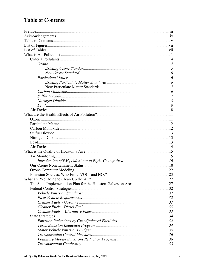# **Table of Contents**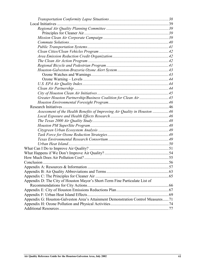| Greater Houston Partnership/Business Coalition for Clean Air45                   |  |
|----------------------------------------------------------------------------------|--|
|                                                                                  |  |
|                                                                                  |  |
| Assessment of the Health Benefits of Improving Air Quality in Houston 46         |  |
|                                                                                  |  |
|                                                                                  |  |
|                                                                                  |  |
|                                                                                  |  |
|                                                                                  |  |
|                                                                                  |  |
|                                                                                  |  |
|                                                                                  |  |
|                                                                                  |  |
|                                                                                  |  |
|                                                                                  |  |
|                                                                                  |  |
|                                                                                  |  |
|                                                                                  |  |
| Appendix D: The City of Houston Mayor's Short-Term Fine Particulate List of      |  |
|                                                                                  |  |
|                                                                                  |  |
|                                                                                  |  |
| Appendix G: Houston-Galveston Area's Attainment Demonstration Control Measures71 |  |
|                                                                                  |  |
|                                                                                  |  |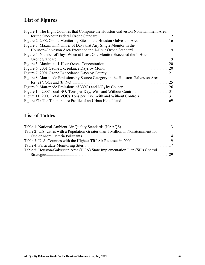# **List of Figures**

| Figure 1: The Eight Counties that Comprise the Houston-Galveston Nonattainment Area |                             |
|-------------------------------------------------------------------------------------|-----------------------------|
| for the One-hour Federal Ozone Standard.                                            | $\mathcal{D}_{\mathcal{L}}$ |
|                                                                                     | <sup>16</sup>               |
| Figure 3: Maximum Number of Days that Any Single Monitor in the                     |                             |
| Houston-Galveston Area Exceeded the 1-Hour Ozone Standard                           | 19                          |
| Figure 4: Number of Days When at Least One Monitor Exceeded the 1-Hour              |                             |
| Ozone Standard                                                                      | 19                          |
|                                                                                     | 20                          |
|                                                                                     | 20                          |
|                                                                                     | 21                          |
| Figure 8: Man-made Emissions by Source Category in the Houston-Galveston Area       |                             |
| for (a) VOCs and (b) $NO_x$                                                         | 25                          |
|                                                                                     | 26                          |
|                                                                                     | 31                          |
|                                                                                     | 31                          |
| Figure F1: The Temperature Profile of an Urban Heat Island                          | 69                          |

## **List of Tables**

| Table 2: U.S. Cities with a Population Greater than 1 Million in Nonattainment for |  |
|------------------------------------------------------------------------------------|--|
|                                                                                    |  |
|                                                                                    |  |
|                                                                                    |  |
| Table 5: Houston-Galveston Area (HGA) State Implementation Plan (SIP) Control      |  |
|                                                                                    |  |
|                                                                                    |  |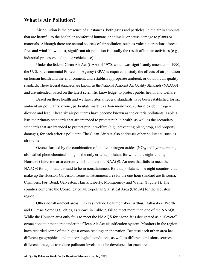## **What is Air Pollution?**

Air pollution is the presence of substances, both gases and particles, in the air in amounts that are harmful to the health or comfort of humans or animals, or cause damage to plants or materials. Although there are natural sources of air pollution, such as volcanic eruptions, forest fires and wind-blown dust, significant air pollution is usually the result of human activities (e.g., industrial processes and motor vehicle use).

Under the federal Clean Air Act (CAA) of 1970, which was significantly amended in 1990, the U. S. Environmental Protection Agency (EPA) is required to study the effects of air pollution on human health and the environment, and establish appropriate ambient, or outdoor, air quality standards. These federal standards are known as the National Ambient Air Quality Standards (NAAQS) and are intended, based on the latest scientific knowledge, to protect public health and welfare.

Based on these health and welfare criteria, federal standards have been established for six ambient air pollutants: ozone, particulate matter, carbon monoxide, sulfur dioxide, nitrogen dioxide and lead. These six air pollutants have become known as the criteria pollutants. Table 1 lists the primary standards that are intended to protect public health, as well as the secondary standards that are intended to protect public welfare (e.g., preventing plant, crop, and property damage), for each criteria pollutant. The Clean Air Act also addresses other pollutants, such as air toxics.

Ozone, formed by the combination of emitted nitrogen oxides  $(NO<sub>x</sub>)$  and hydrocarbons, also called photochemical smog, is the only criteria pollutant for which the eight-county Houston-Galveston area currently fails to meet the NAAQS. An area that fails to meet the NAAQS for a pollutant is said to be in nonattainment for that pollutant. The eight counties that make up the Houston-Galveston ozone nonattainment area for the one-hour standard are Brazoria, Chambers, Fort Bend, Galveston, Harris, Liberty, Montgomery and Waller (Figure 1). The counties comprise the Consolidated Metropolitan Statistical Area (CMSA) for the Houston region.

Other nonattainment areas in Texas include Beaumont-Port Arthur, Dallas-Fort Worth and El Paso. Some U.S. cities, as shown in Table 2, fail to meet more than one of the NAAQS. While the Houston area only fails to meet the NAAQS for ozone, it is designated as a "Severe" ozone nonattainment area under the Clean Air Act classification system. Monitors in the region have recorded some of the highest ozone readings in the nation. Because each urban area has different geographical and meteorological conditions, as well as different emissions sources, different strategies to reduce pollutant levels must be developed for each area.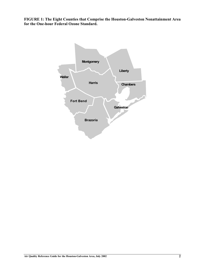**FIGURE 1: The Eight Counties that Comprise the Houston-Galveston Nonattainment Area for the One-hour Federal Ozone Standard.**

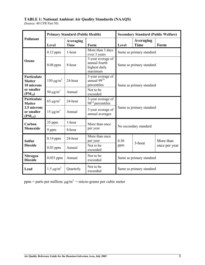## **TABLE 1: National Ambient Air Quality Standards (NAAQS)**

(Source: 40 CFR Part 50)

|                                            |                                                    | <b>Primary Standard (Public Health)</b> |                                                                | <b>Secondary Standard (Public Welfare)</b> |        |               |
|--------------------------------------------|----------------------------------------------------|-----------------------------------------|----------------------------------------------------------------|--------------------------------------------|--------|---------------|
| Pollutant                                  | Averaging<br>Level<br><b>Time</b><br>Form<br>Level |                                         | Averaging<br><b>Time</b>                                       | Form                                       |        |               |
|                                            | $0.12$ ppm                                         | 1-hour                                  | More than 3 days<br>over 3 years                               | Same as primary standard                   |        |               |
| Ozone                                      | $0.08$ ppm                                         | 8-hour                                  | 3-year average of<br>annual fourth<br>highest daily<br>maximum | Same as primary standard                   |        |               |
| Particulate<br><b>Matter</b><br>10 microns | $150 \mu g/m^3$                                    | 24-hour                                 | 3-year average of<br>annual 99th<br>percentiles                | Same as primary standard                   |        |               |
| or smaller<br>$(PM_{10})$                  | 50 $\mu$ g/m <sup>3</sup>                          | Annual                                  | Not to be<br>exceeded                                          |                                            |        |               |
| Particulate<br><b>Matter</b>               | 65 $\mu$ g/m <sup>3</sup>                          | 24-hour                                 | 3-year average of<br>$98th$ percentiles                        | Same as primary standard                   |        |               |
| 2.5 microns<br>or smaller<br>$(PM_{2.5})$  | $15 \mu g/m^3$                                     | Annual                                  | 3-year average of<br>annual averages                           |                                            |        |               |
| Carbon                                     | 35 ppm                                             | 1-hour                                  | More than once<br>No secondary standard                        |                                            |        |               |
| <b>Monoxide</b>                            | 9 ppm                                              | 8-hour                                  | per year                                                       |                                            |        |               |
| <b>Sulfur</b><br><b>Dioxide</b>            | $0.14$ ppm                                         | 24-hour                                 | More than once<br>per year                                     | 0.50                                       | 3-hour | More than     |
|                                            | $0.03$ ppm                                         | Annual                                  | Not to be<br>exceeded                                          | ppm                                        |        | once per year |
| <b>Nitrogen</b><br><b>Dioxide</b>          | $0.053$ ppm                                        | Annual                                  | Not to be<br>exceeded                                          | Same as primary standard                   |        |               |
| Lead                                       | $1.5 \,\mu g/m^3$                                  | Quarterly                               | Not to be<br>exceeded                                          | Same as primary standard                   |        |               |

ppm = parts per million;  $\mu g/m^3$  = micro-grams per cubic meter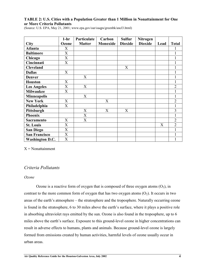## **TABLE 2: U.S. Cities with a Population Greater than 1 Million in Nonattainment for One or More Criteria Pollutants**

|                        | $1-hr$                    | Particulate               | Carbon   | <b>Sulfur</b>  | <b>Nitrogen</b> |      |                |
|------------------------|---------------------------|---------------------------|----------|----------------|-----------------|------|----------------|
| <b>City</b>            | Ozone                     | <b>Matter</b>             | Monoxide | <b>Dioxide</b> | <b>Dioxide</b>  | Lead | <b>Total</b>   |
| <b>Atlanta</b>         | X                         |                           |          |                |                 |      |                |
| <b>Baltimore</b>       | X                         |                           |          |                |                 |      |                |
| Chicago                | $\boldsymbol{\mathrm{X}}$ |                           |          |                |                 |      |                |
| Cincinnati             | X                         |                           |          |                |                 |      |                |
| <b>Cleveland</b>       |                           |                           |          | X              |                 |      |                |
| <b>Dallas</b>          | X                         |                           |          |                |                 |      |                |
| <b>Denver</b>          |                           | X                         |          |                |                 |      |                |
| <b>Houston</b>         | X                         |                           |          |                |                 |      |                |
| <b>Los Angeles</b>     | X                         | X                         |          |                |                 |      | $\overline{2}$ |
| <b>Milwaukee</b>       | X                         |                           |          |                |                 |      |                |
| <b>Minneapolis</b>     |                           | X                         |          |                |                 |      |                |
| <b>New York</b>        | X                         |                           | X        |                |                 |      | $\overline{2}$ |
| Philadelphia           | X                         |                           |          |                |                 |      |                |
| Pittsburgh             |                           | X                         | X        | X              |                 |      | 3              |
| <b>Phoenix</b>         |                           | $\boldsymbol{\mathrm{X}}$ |          |                |                 |      |                |
| <b>Sacramento</b>      | $\boldsymbol{\mathrm{X}}$ | $\boldsymbol{\mathrm{X}}$ |          |                |                 |      | $\overline{2}$ |
| <b>St. Louis</b>       | $\overline{X}$            |                           |          |                |                 | X    | $\overline{2}$ |
| <b>San Diego</b>       | $\boldsymbol{\mathrm{X}}$ |                           |          |                |                 |      |                |
| <b>San Francisco</b>   | $\boldsymbol{\mathrm{X}}$ |                           |          |                |                 |      |                |
| <b>Washington D.C.</b> | $\boldsymbol{\mathrm{X}}$ |                           |          |                |                 |      |                |

(Source: U.S. EPA, May 21, 2001; www.epa.gov/oar/oaqps/greenbk/ancl3.html)

 $X =$  Nonattainment

## *Criteria Pollutants*

#### *Ozone*

Ozone is a reactive form of oxygen that is composed of three oxygen atoms  $(O_3)$ , in contrast to the more common form of oxygen that has two oxygen atoms  $(O_2)$ . It occurs in two areas of the earth's atmosphere – the stratosphere and the troposphere. Naturally occurring ozone is found in the stratosphere, 6 to 30 miles above the earth's surface, where it plays a positive role in absorbing ultraviolet rays emitted by the sun. Ozone is also found in the troposphere, up to 6 miles above the earth's surface. Exposure to this ground-level ozone in higher concentrations can result in adverse effects to humans, plants and animals. Because ground-level ozone is largely formed from emissions created by human activities, harmful levels of ozone usually occur in urban areas.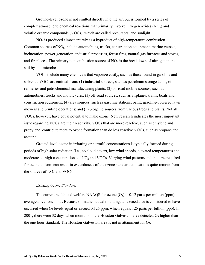Ground-level ozone is not emitted directly into the air, but is formed by a series of complex atmospheric chemical reactions that primarily involve nitrogen oxides  $(NO<sub>x</sub>)$  and volatile organic compounds (VOCs), which are called precursors, and sunlight.

 $NO<sub>x</sub>$  is produced almost entirely as a byproduct of high-temperature combustion. Common sources of  $NO<sub>x</sub>$  include automobiles, trucks, construction equipment, marine vessels, incineration, power generation, industrial processes, forest fires, natural gas furnaces and stoves, and fireplaces. The primary noncombustion source of  $NO<sub>x</sub>$  is the breakdown of nitrogen in the soil by soil microbes.

VOCs include many chemicals that vaporize easily, such as those found in gasoline and solvents. VOCs are emitted from: (1) industrial sources, such as petroleum storage tanks, oil refineries and petrochemical manufacturing plants; (2) on-road mobile sources, such as automobiles, trucks and motorcycles; (3) off-road sources, such as airplanes, trains, boats and construction equipment; (4) area sources, such as gasoline stations, paint, gasoline-powered lawn mowers and printing operations; and (5) biogenic sources from various trees and plants. Not all VOCs, however, have equal potential to make ozone. New research indicates the most important issue regarding VOCs are their reactivity. VOCs that are more reactive, such as ethylene and propylene, contribute more to ozone formation than do less reactive VOCs, such as propane and acetone.

Ground-level ozone in irritating or harmful concentrations is typically formed during periods of high solar radiation (i.e., no cloud cover), low wind speeds, elevated temperatures and moderate-to-high concentrations of  $NO<sub>x</sub>$  and VOCs. Varying wind patterns and the time required for ozone to form can result in exceedances of the ozone standard at locations quite remote from the sources of  $NO<sub>x</sub>$  and VOCs.

#### *Existing Ozone Standard*

The current health and welfare NAAQS for ozone  $(O_3)$  is 0.12 parts per million (ppm) averaged over one hour. Because of mathematical rounding, an exceedance is considered to have occurred when  $O_3$  levels equal or exceed 0.125 ppm, which equals 125 parts per billion (ppb). In 2001, there were 32 days when monitors in the Houston-Galveston area detected  $O_3$  higher than the one-hour standard. The Houston-Galveston area is not in attainment for  $O_3$ .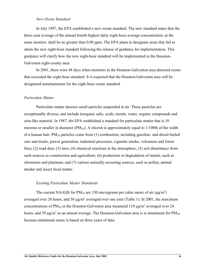#### *New Ozone Standard*

In July 1997, the EPA established a new ozone standard. The new standard states that the three-year average of the annual fourth-highest daily eight-hour average concentration, at the same monitor, shall be no greater than 0.08 ppm. The EPA plans to designate areas that fail to attain the new eight-hour standard following the release of guidance for implementation. This guidance will clarify how the new eight-hour standard will be implemented in the Houston-Galveston eight-county area.

In 2001, there were 48 days when monitors in the Houston-Galveston area detected ozone that exceeded the eight-hour standard. It is expected that the Houston-Galveston area will be designated nonattainment for the eight-hour ozone standard.

#### *Particulate Matter*

Particulate matter denotes small particles suspended in air. These particles are exceptionally diverse, and include inorganic salts, acids, metals, water, organic compounds and soot-like material. In 1987, the EPA established a standard for particulate matter that is 10 microns or smaller in diameter ( $PM_{10}$ ). A micron is approximately equal to 1/100th of the width of a human hair.  $PM_{10}$  particles come from (1) combustion, including gasoline- and diesel-fueled cars and trucks, power generation, industrial processes, cigarette smoke, volcanoes and forest fires; (2) road dust; (3) tires; (4) chemical reactions in the atmosphere; (5) soil disturbance from such sources as construction and agriculture; (6) production or degradation of metals, such as chromium and platinum; and (7) various naturally occurring sources, such as pollen, animal dander and insect fecal matter.

#### *Existing Particulate Matter Standards*

The current NAAQS for PM<sub>10</sub> are 150 micrograms per cubic meter of air ( $\mu$ g/m<sup>3</sup>) averaged over 24 hours, and 50  $\mu$ g/m<sup>3</sup> averaged over one year (Table 1). In 2001, the maximum concentrations of  $PM_{10}$  in the Houston-Galveston area measured 110  $\mu$ g/m<sup>3</sup> averaged over 24 hours, and 39  $\mu$ g/m<sup>3</sup> as an annual average. The Houston-Galveston area is in attainment for PM<sub>10</sub> because attainment status is based on three years of data.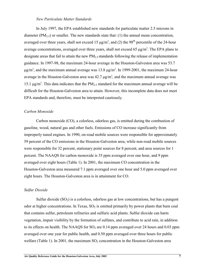#### *New Particulate Matter Standards*

In July 1997, the EPA established new standards for particulate matter 2.5 microns in diameter (PM<sub>2.5</sub>) or smaller. The new standards state that: (1) the annual mean concentration, averaged over three years, shall not exceed 15  $\mu$ g/m<sup>3</sup>, and (2) the 98<sup>th</sup> percentile of the 24-hour average concentrations, averaged over three years, shall not exceed 65  $\mu$ g/m<sup>3</sup>. The EPA plans to designate areas that fail to attain the new  $PM_2$ , standards following the release of implementation guidance. In 1997-98, the maximum 24-hour average in the Houston-Galveston area was 53.7  $\mu$ g/m<sup>3</sup>, and the maximum annual average was 13.8  $\mu$ g/m<sup>3</sup>. In 1999-2001, the maximum 24-hour average in the Houston-Galveston area was  $42.7 \text{ µg/m}^3$ , and the maximum annual average was 15.1  $\mu$ g/m<sup>3</sup>. This data indicates that the PM<sub>2.5</sub> standard for the maximum annual average will be difficult for the Houston-Galveston area to attain. However, this incomplete data does not meet EPA standards and, therefore, must be interpreted cautiously.

#### *Carbon Monoxide*

Carbon monoxide (CO), a colorless, odorless gas, is emitted during the combustion of gasoline, wood, natural gas and other fuels. Emissions of CO increase significantly from improperly tuned engines. In 1990, on-road mobile sources were responsible for approximately 59 percent of the CO emissions in the Houston-Galveston area, while non-road mobile sources were responsible for 32 percent, stationary point sources for 8 percent, and area sources for 1 percent. The NAAQS for carbon monoxide is 35 ppm averaged over one hour, and 9 ppm averaged over eight hours (Table 1). In 2001, the maximum CO concentration in the Houston-Galveston area measured 7.1 ppm averaged over one hour and 5.0 ppm averaged over eight hours. The Houston-Galveston area is in attainment for CO.

#### *Sulfur Dioxide*

Sulfur dioxide  $(SO_2)$  is a colorless, odorless gas at low concentrations, but has a pungent odor at higher concentrations. In Texas,  $SO<sub>2</sub>$  is emitted primarily by power plants that burn coal that contains sulfur, petroleum refineries and sulfuric acid plants. Sulfur dioxide can harm vegetation, impair visibility by the formation of sulfates, and contribute to acid rain, in addition to its effects on health. The NAAQS for  $SO_2$  are 0.14 ppm averaged over 24 hours and 0.03 ppm averaged over one year for public health, and 0.50 ppm averaged over three hours for public welfare (Table 1). In 2001, the maximum  $SO_2$  concentration in the Houston-Galveston area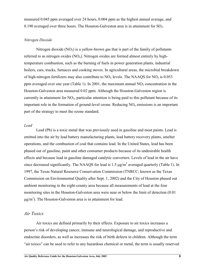measured 0.045 ppm averaged over 24 hours, 0.004 ppm as the highest annual average, and 0.190 averaged over three hours. The Houston-Galveston area is in attainment for  $SO_2$ .

### *Nitrogen Dioxide*

Nitrogen dioxide  $(NO<sub>2</sub>)$  is a yellow-brown gas that is part of the family of pollutants referred to as nitrogen oxides  $(NO<sub>x</sub>)$ . Nitrogen oxides are formed almost entirely by hightemperature combustion, such as the burning of fuels in power generation plants, industrial boilers, cars, trucks, furnaces and cooking stoves. In agricultural areas, the microbial breakdown of high-nitrogen fertilizers may also contribute to  $NO<sub>x</sub>$  levels. The NAAQS for  $NO<sub>2</sub>$  is 0.053 ppm averaged over one year (Table 1). In 2001, the maximum annual  $NO<sub>2</sub>$  concentration in the Houston-Galveston area measured 0.02 ppm. Although the Houston-Galveston region is currently in attainment for  $NO<sub>2</sub>$ , particular attention is being paid to this pollutant because of its important role in the formation of ground-level ozone. Reducing  $NO<sub>x</sub>$  emissions is an important part of the strategy to meet the ozone standard.

#### *Lead*

Lead (Pb) is a toxic metal that was previously used in gasoline and most paints. Lead is emitted into the air by lead battery manufacturing plants, lead battery recovery plants, smelter operations, and the combustion of coal that contains lead. In the United States, lead has been phased out of gasoline, paint and other consumer products because of its undesirable health effects and because lead in gasoline damaged catalytic converters. Levels of lead in the air have since decreased significantly. The NAAQS for lead is 1.5  $\mu$ g/m<sup>3</sup> averaged quarterly (Table 1). In 1997, the Texas Natural Resource Conservation Commission (TNRCC; known as the Texas Commission on Environmental Quality after Sept. 1, 2002) and the City of Houston phased out ambient monitoring in the eight-county area because all measurements of lead at the four monitoring sites in the Houston-Galveston area were near or below the limit of detection (0.01  $\mu$ g/m<sup>3</sup>). The Houston-Galveston area is in attainment for lead.

## *Air Toxics*

Air toxics are defined primarily by their effects. Exposure to air toxics increases a person's risk of developing cancer, immune and neurological damage, and reproductive and endocrine disorders, as well as increases the risk of birth defects in children. Although the term "air toxics" can be used to refer to any hazardous chemical or metal, the term is usually reserved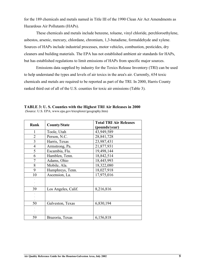for the 189 chemicals and metals named in Title III of the 1990 Clean Air Act Amendments as Hazardous Air Pollutants (HAPs).

These chemicals and metals include benzene, toluene, vinyl chloride, perchloroethylene, asbestos, arsenic, mercury, chlordane, chromium, 1,3-butadiene, formaldehyde and xylene. Sources of HAPs include industrial processes, motor vehicles, combustion, pesticides, dry cleaners and building materials. The EPA has not established ambient air standards for HAPs, but has established regulations to limit emissions of HAPs from specific major sources.

Emissions data supplied by industry for the Toxics Release Inventory (TRI) can be used to help understand the types and levels of air toxics in the area's air. Currently, 654 toxic chemicals and metals are required to be reported as part of the TRI. In 2000, Harris County ranked third out of all of the U.S. counties for toxic air emissions (Table 3).

| Rank           | <b>County/State</b> | <b>Total TRI Air Releases</b> |
|----------------|---------------------|-------------------------------|
|                |                     | (pounds/year)                 |
| 1              | Toole, Utah         | 43,949,589                    |
| $\overline{2}$ | Person, N.C.        | 28,841,728                    |
| 3              | Harris, Texas       | 23,987,431                    |
| $\overline{4}$ | Armstrong, Pa.      | 21,877,931                    |
| 5              | Escambia, Fla.      | 19,498,144                    |
| 6              | Hamblen, Tenn.      | 18,842,514                    |
| 7              | Adams, Ohio         | 18,445,993                    |
| 8              | Mobile, Ala.        | 18,322,080                    |
| 9              | Humphreys, Tenn.    | 18,027,918                    |
| 10             | Ascension, La.      | 17,975,016                    |
|                |                     |                               |
|                |                     |                               |
| 39             | Los Angeles, Calif. | 8,216,816                     |
|                |                     |                               |
|                |                     |                               |
| 50             | Galveston, Texas    | 6,830,194                     |
|                |                     |                               |
|                |                     |                               |
| 59             | Brazoria, Texas     | 6,156,818                     |

**TABLE 3: U. S. Counties with the Highest TRI Air Releases in 2000** (Source: U.S. EPA; www.epa.gov/triexplorer/geography.htm)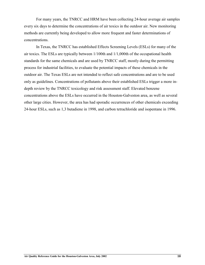For many years, the TNRCC and HRM have been collecting 24-hour average air samples every six days to determine the concentrations of air toxics in the outdoor air. New monitoring methods are currently being developed to allow more frequent and faster determinations of concentrations.

In Texas, the TNRCC has established Effects Screening Levels (ESLs) for many of the air toxics. The ESLs are typically between 1/100th and 1/1,000th of the occupational health standards for the same chemicals and are used by TNRCC staff, mostly during the permitting process for industrial facilities, to evaluate the potential impacts of these chemicals in the outdoor air. The Texas ESLs are not intended to reflect safe concentrations and are to be used only as guidelines. Concentrations of pollutants above their established ESLs trigger a more indepth review by the TNRCC toxicology and risk assessment staff. Elevated benzene concentrations above the ESLs have occurred in the Houston-Galveston area, as well as several other large cities. However, the area has had sporadic occurrences of other chemicals exceeding 24-hour ESLs, such as 1,3 butadiene in 1998, and carbon tetrachloride and isopentane in 1996.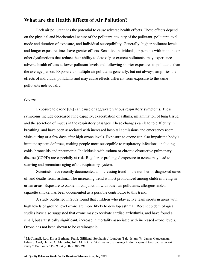## **What are the Health Effects of Air Pollution?**

Each air pollutant has the potential to cause adverse health effects. These effects depend on the physical and biochemical nature of the pollutant, toxicity of the pollutant, pollutant level, mode and duration of exposure, and individual susceptibility. Generally, higher pollutant levels and longer exposure times have greater effects. Sensitive individuals, or persons with immune or other dysfunctions that reduce their ability to detoxify or excrete pollutants, may experience adverse health effects at lower pollutant levels and following shorter exposures to pollutants than the average person. Exposure to multiple air pollutants generally, but not always, amplifies the effects of individual pollutants and may cause effects different from exposure to the same pollutants individually.

## *Ozone*

 $\overline{\phantom{a}}$ 

Exposure to ozone  $(O_3)$  can cause or aggravate various respiratory symptoms. These symptoms include decreased lung capacity, exacerbation of asthma, inflammation of lung tissue, and the secretion of mucus in the respiratory passages. These changes can lead to difficulty in breathing, and have been associated with increased hospital admissions and emergency room visits during or a few days after high ozone levels. Exposure to ozone can also impair the body's immune system defenses, making people more susceptible to respiratory infections, including colds, bronchitis and pneumonia. Individuals with asthma or chronic obstructive pulmonary disease (COPD) are especially at risk. Regular or prolonged exposure to ozone may lead to scarring and premature aging of the respiratory system.

Scientists have recently documented an increasing trend in the number of diagnosed cases of, and deaths from, asthma. The increasing trend is most pronounced among children living in urban areas. Exposure to ozone, in conjunction with other air pollutants, allergens and/or cigarette smoke, has been documented as a possible contributor to this trend.

A study published in 2002 found that children who play active team sports in areas with high levels of ground level ozone are more likely to develop asthma.<sup>1</sup> Recent epidemiological studies have also suggested that ozone may exacerbate cardiac arrhythmia, and have found a small, but statistically significant, increase in mortality associated with increased ozone levels. Ozone has not been shown to be carcinogenic.

**Air Quality Reference Guide for the Houston-Galveston Area, July 2002 11**

<sup>&</sup>lt;sup>1</sup> McConnell, Rob, Kiros Berhane, Frank Gilliland, Stephanie J. London, Talat Islam, W. James Gauderman, Edward Avol, Helene G. Margolis, John M. Peters. "Asthma in exercising children exposed to ozone: a cohort study." *The Lancet* 359.9304 (2002): 386-391.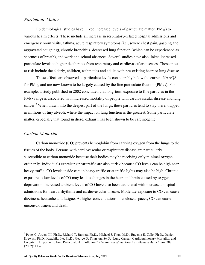## *Particulate Matter*

Epidemiological studies have linked increased levels of particulate matter  $(PM_{10})$  to various health effects. These include an increase in respiratory-related hospital admissions and emergency room visits, asthma, acute respiratory symptoms (i.e., severe chest pain, gasping and aggravated coughing), chronic bronchitis, decreased lung function (which can be experienced as shortness of breath), and work and school absences. Several studies have also linked increased particulate levels to higher death rates from respiratory and cardiovascular diseases. Those most at risk include the elderly, children, asthmatics and adults with pre-existing heart or lung disease.

These effects are observed at particulate levels considerably below the current NAAQS for  $PM_{10}$ , and are now known to be largely caused by the fine particulate fraction ( $PM_{2.5}$ ). For example, a study published in 2002 concluded that long-term exposure to fine particles in the  $PM<sub>2.5</sub>$  range is associated with increased mortality of people with cardiovascular disease and lung cancer.<sup>2</sup> When drawn into the deepest part of the lungs, these particles tend to stay there, trapped in millions of tiny alveoli, where the impact on lung function is the greatest. Some particulate matter, especially that found in diesel exhaust, has been shown to be carcinogenic.

## *Carbon Monoxide*

 $\overline{\phantom{a}}$ 

Carbon monoxide (CO) prevents hemoglobin from carrying oxygen from the lungs to the tissues of the body. Persons with cardiovascular or respiratory disease are particularly susceptible to carbon monoxide because their bodies may be receiving only minimal oxygen ordinarily. Individuals exercising near traffic are also at risk because CO levels can be high near heavy traffic. CO levels inside cars in heavy traffic or at traffic lights may also be high. Chronic exposure to low levels of CO may lead to changes in the heart and brain caused by oxygen deprivation. Increased ambient levels of CO have also been associated with increased hospital admissions for heart arrhythmia and cardiovascular disease. Moderate exposure to CO can cause dizziness, headache and fatigue. At higher concentrations in enclosed spaces, CO can cause unconsciousness and death.

<sup>&</sup>lt;sup>2</sup> Pope, C. Arden, III, Ph.D., Richard T. Burnett, Ph.D., Michael J. Thun, M.D., Eugenia E. Calle, Ph.D., Daniel Krewski, Ph.D., Kazuhiko Ito, Ph.D., George D. Thurston, Sc.D. "Lung Cancer, Cardiopulmonary Mortality, and Long-term Exposure to Fine Particulate Air Pollution." *The Journal of the American Medical Association* 287 (2002): 1132.

**Air Quality Reference Guide for the Houston-Galveston Area, July 2002 12**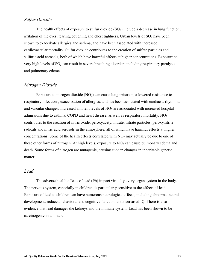## *Sulfur Dioxide*

The health effects of exposure to sulfur dioxide  $(SO<sub>2</sub>)$  include a decrease in lung function, irritation of the eyes, tearing, coughing and chest tightness. Urban levels of  $SO<sub>2</sub>$  have been shown to exacerbate allergies and asthma, and have been associated with increased cardiovascular mortality. Sulfur dioxide contributes to the creation of sulfate particles and sulfuric acid aerosols, both of which have harmful effects at higher concentrations. Exposure to very high levels of  $SO_2$  can result in severe breathing disorders including respiratory paralysis and pulmonary edema.

## *Nitrogen Dioxide*

Exposure to nitrogen dioxide  $(NO<sub>2</sub>)$  can cause lung irritation, a lowered resistance to respiratory infections, exacerbation of allergies, and has been associated with cardiac arrhythmia and vascular changes. Increased ambient levels of  $NO<sub>2</sub>$  are associated with increased hospital admissions due to asthma, COPD and heart disease, as well as respiratory mortality.  $NO<sub>2</sub>$ contributes to the creation of nitric oxide, peroxyacetyl nitrate, nitrate particles, peroxynitrite radicals and nitric acid aerosols in the atmosphere, all of which have harmful effects at higher concentrations. Some of the health effects correlated with  $NO<sub>2</sub>$  may actually be due to one of these other forms of nitrogen. At high levels, exposure to  $NO<sub>2</sub>$  can cause pulmonary edema and death. Some forms of nitrogen are mutagenic, causing sudden changes in inheritable genetic matter.

## *Lead*

The adverse health effects of lead (Pb) impact virtually every organ system in the body. The nervous system, especially in children, is particularly sensitive to the effects of lead. Exposure of lead to children can have numerous neurological effects, including abnormal neural development, reduced behavioral and cognitive function, and decreased IQ. There is also evidence that lead damages the kidneys and the immune system. Lead has been shown to be carcinogenic in animals.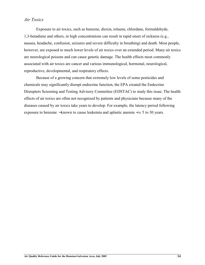## *Air Toxics*

Exposure to air toxics, such as benzene, dioxin, toluene, chlordane, formaldehyde, 1,3-butadiene and others, in high concentrations can result in rapid onset of sickness (e.g., nausea, headache, confusion, seizures and severe difficulty in breathing) and death. Most people, however, are exposed to much lower levels of air toxics over an extended period. Many air toxics are neurological poisons and can cause genetic damage. The health effects most commonly associated with air toxics are cancer and various immunological, hormonal, neurological, reproductive, developmental, and respiratory effects.

Because of a growing concern that extremely low levels of some pesticides and chemicals may significantly disrupt endocrine function, the EPA created the Endocrine Disrupters Screening and Testing Advisory Committee (EDSTAC) to study this issue. The health effects of air toxics are often not recognized by patients and physicians because many of the diseases caused by air toxics take years to develop. For example, the latency period following exposure to benzene − known to cause leukemia and aplastic anemia − i s 5 to 30 years.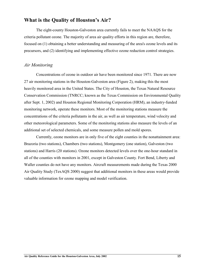## **What is the Quality of Houston's Air?**

The eight-county Houston-Galveston area currently fails to meet the NAAQS for the criteria pollutant ozone. The majority of area air quality efforts in this region are, therefore, focused on (1) obtaining a better understanding and measuring of the area's ozone levels and its precursors, and (2) identifying and implementing effective ozone reduction control strategies.

## *Air Monitoring*

Concentrations of ozone in outdoor air have been monitored since 1971. There are now 27 air monitoring stations in the Houston-Galveston area (Figure 2), making this the most heavily monitored area in the United States. The City of Houston, the Texas Natural Resource Conservation Commission (TNRCC; known as the Texas Commission on Environmental Quality after Sept. 1, 2002) and Houston Regional Monitoring Corporation (HRM), an industry-funded monitoring network, operate these monitors. Most of the monitoring stations measure the concentrations of the criteria pollutants in the air, as well as air temperature, wind velocity and other meteorological parameters. Some of the monitoring stations also measure the levels of an additional set of selected chemicals, and some measure pollen and mold spores.

Currently, ozone monitors are in only five of the eight counties in the nonattainment area: Brazoria (two stations), Chambers (two stations), Montgomery (one station), Galveston (two stations) and Harris (20 stations). Ozone monitors detected levels over the one-hour standard in all of the counties with monitors in 2001, except in Galveston County. Fort Bend, Liberty and Waller counties do not have any monitors. Aircraft measurements made during the Texas 2000 Air Quality Study (TexAQS 2000) suggest that additional monitors in these areas would provide valuable information for ozone mapping and model verification.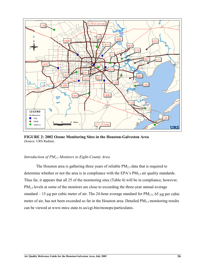

**FIGURE 2: 2002 Ozone Monitoring Sites in the Houston-Galveston Area** (Source: URS Radian)

### *Introduction of PM2.5 Monitors to Eight-County Area*

The Houston area is gathering three years of reliable PM<sub>2.5</sub> data that is required to determine whether or not the area is in compliance with the EPA's  $PM_{2.5}$  air quality standards. Thus far, it appears that all 25 of the monitoring sites (Table 4) will be in compliance, however, PM<sub>2.5</sub> levels at some of the monitors are close to exceeding the three-year annual average standard – 15 µg per cubic meter of air. The 24-hour average standard for  $PM_{2.5}$ , 65 µg per cubic meter of air, has not been exceeded so far in the Houston area. Detailed PM<sub>2.5</sub> monitoring results can be viewed at www.tnrcc.state.tx.us/cgi-bin/monops/particulates.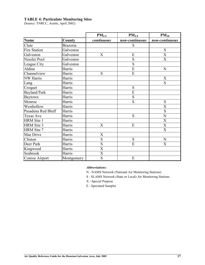## **TABLE 4: Particulate Monitoring Sites**

(Source: TNRCC, Austin, April 2002)

|                     |            | PM <sub>2.5</sub>         | $PM_{2.5}$     | $PM_{10}$                 |
|---------------------|------------|---------------------------|----------------|---------------------------|
| <b>Name</b>         | County     | continuous                | non-continuous | non-continuous            |
| Clute               | Brazoria   |                           | ${\bf S}$      |                           |
| <b>Fire Station</b> | Galveston  |                           |                | ${\bf S}$                 |
| Galveston           | Galveston  | X                         | E              | $\overline{\text{X}}$     |
| Nessler Pool        | Galveston  |                           | S              | $\boldsymbol{\mathrm{X}}$ |
| League City         | Galveston  |                           | $\overline{S}$ |                           |
| Aldine              | Harris     |                           | E              | N                         |
| Channelview         | Harris     | S                         | $\overline{E}$ |                           |
| <b>NW Harris</b>    | Harris     |                           |                | X                         |
| Lang                | Harris     |                           |                | S                         |
| Croquet             | Harris     |                           | S              |                           |
| <b>Bayland Park</b> | Harris     |                           | E              |                           |
| Baytown             | Harris     |                           | S              |                           |
| Monroe              | Harris     |                           | S              | S                         |
| Westhollow          | Harris     |                           |                | $\mathbf X$               |
| Pasadena Red Bluff  | Harris     |                           |                | $\overline{S}$            |
| <b>Texas Ave</b>    | Harris     |                           | S              | $\overline{N}$            |
| <b>HRM</b> Site 1   | Harris     |                           |                | $\boldsymbol{\mathrm{X}}$ |
| <b>HRM</b> Site 3   | Harris     | X                         | E              | X                         |
| HRM Site 7          | Harris     |                           |                | $\mathbf X$               |
| Mae Drive           | Harris     | $\mathbf X$               |                |                           |
| Clinton             | Harris     | $\overline{S}$            | ${\bf S}$      | ${\bf N}$                 |
| Deer Park           | Harris     | $\overline{S}$            | $\overline{E}$ | $\mathbf X$               |
| Kingwood            | Harris     | $\boldsymbol{\mathrm{X}}$ |                |                           |
| Seabrook            | Harris     | X                         |                |                           |
| Conroe Airport      | Montgomery | S                         | E              |                           |

#### *Abbreviations:*

N - NAMS Network (National Air Monitoring Stations)

S - SLAMS Network (State or Local) Air Monitoring Stations

X - Special Purpose

E - Speciated Sampler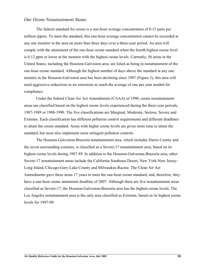## *Our Ozone Nonattainment Status*

The federal standard for ozone is a one-hour average concentration of 0.12 parts per million (ppm). To meet the standard, this one-hour average concentration cannot be exceeded at any one monitor in the area on more than three days over a three-year period. An area will comply with the attainment of the one-hour ozone standard when the fourth highest ozone level is 0.12 ppm or lower at the monitor with the highest ozone levels. Currently, 56 areas in the United States, including the Houston-Galveston area, are listed as being in nonattainment of the one-hour ozone standard. Although the highest number of days above the standard at any one monitor in the Houston-Galveston area has been declining since 1987 (Figure 3), this area will need aggressive reductions in air emissions to reach the average of one per year needed for compliance.

Under the federal Clean Air Act Amendments (CAAA) of 1990, ozone nonattainment areas are classified based on the highest ozone levels experienced during the three-year periods, 1987-1989 or 1988-1990. The five classifications are Marginal, Moderate, Serious, Severe and Extreme. Each classification has different pollution control requirements and different deadlines to attain the ozone standard. Areas with higher ozone levels are given more time to attain the standard, but must also implement more stringent pollution controls.

The Houston-Galveston-Brazoria nonattainment area, which includes Harris County and the seven surrounding counties, is classified as a Severe-17 nonattainment area, based on its highest ozone levels during 1987-89. In addition to the Houston-Galveston-Brazoria area, other Severe-17 nonattainment areas include the California Southeast Desert, New York-New Jersey-Long Island, Chicago-Gary-Lake County and Milwaukee-Racine. The Clean Air Act Amendments gave these areas 17 years to meet the one-hour ozone standard, and, therefore, they have a one-hour ozone attainment deadline of 2007. Although there are five nonattainment areas classified as Severe-17, the Houston-Galveston-Brazoria area has the highest ozone levels. The Los Angeles nonattainment area is the only area classified as Extreme, based on its highest ozone levels for 1987-89.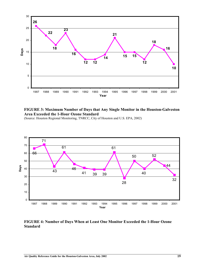

**FIGURE 3: Maximum Number of Days that Any Single Monitor in the Houston-Galveston Area Exceeded the 1-Hour Ozone Standard**

(Source: Houston Regional Monitoring, TNRCC, City of Houston and U.S. EPA, 2002)



**FIGURE 4: Number of Days When at Least One Monitor Exceeded the 1-Hour Ozone Standard**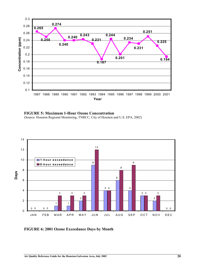

**FIGURE 5: Maximum 1-Hour Ozone Concentration**

(Source: Houston Regional Monitoring, TNRCC, City of Houston and U.S. EPA, 2002)



**FIGURE 6: 2001 Ozone Exceedance Days by Month**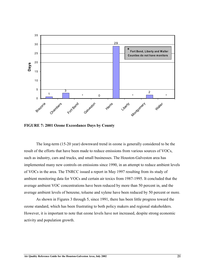

**FIGURE 7: 2001 Ozone Exceedance Days by County**

The long-term (15-20 year) downward trend in ozone is generally considered to be the result of the efforts that have been made to reduce emissions from various sources of VOCs, such as industry, cars and trucks, and small businesses. The Houston-Galveston area has implemented many new controls on emissions since 1990, in an attempt to reduce ambient levels of VOCs in the area. The TNRCC issued a report in May 1997 resulting from its study of ambient monitoring data for VOCs and certain air toxics from 1987-1995. It concluded that the average ambient VOC concentrations have been reduced by more than 50 percent in, and the average ambient levels of benzene, toluene and xylene have been reduced by 50 percent or more.

As shown in Figures 3 through 5, since 1991, there has been little progress toward the ozone standard, which has been frustrating to both policy makers and regional stakeholders. However, it is important to note that ozone levels have not increased, despite strong economic activity and population growth.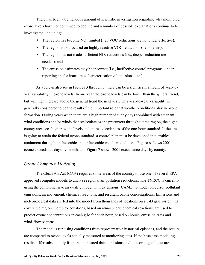There has been a tremendous amount of scientific investigation regarding why monitored ozone levels have not continued to decline and a number of possible explanations continue to be investigated, including:

- The region has become  $NO_x$  limited (i.e., VOC reductions are no longer effective);
- The region is not focused on highly reactive VOC reductions (i.e., olefins);
- The region has not made sufficient  $NO<sub>x</sub>$  reductions (i.e., deeper reduction are needed); and
- The emission estimates may be incorrect (i.e., ineffective control programs, under reporting and/or inaccurate characterization of emissions, etc.).

As you can also see in Figures 3 through 5, there can be a significant amount of year-toyear variability in ozone levels*.* In one year the ozone levels can be lower than the general trend, but will then increase above the general trend the next year. This year-to-year variability is generally considered to be the result of the important role that weather conditions play in ozone formation. During years when there are a high number of sunny days combined with stagnant wind conditions and/or winds that recirculate ozone precursors throughout the region, the eightcounty area sees higher ozone levels and more exceedances of the one-hour standard. If the area is going to attain the federal ozone standard, a control plan must be developed that enables attainment during both favorable and unfavorable weather conditions. Figure 6 shows 2001 ozone exceedance days by month, and Figure 7 shows 2001 exceedance days by county.

## *Ozone Computer Modeling*

The Clean Air Act (CAA) requires some areas of the country to use one of several EPA approved computer models to analyze regional air pollution reductions. The TNRCC is currently using the comprehensive air quality model with extensions (CAMx) to model precursor pollutant emissions, air movement, chemical reactions, and resultant ozone concentrations. Emissions and meteorological data are fed into the model from thousands of locations on a 3-D grid system that covers the region. Complex equations, based on atmospheric chemical reactions, are used to predict ozone concentrations in each grid for each hour, based on hourly emission rates and wind-flow patterns.

The model is run using conditions from representative historical episodes, and the results are compared to ozone levels actually measured at monitoring sites. If the base case modeling results differ substantially from the monitored data, emissions and meteorological data are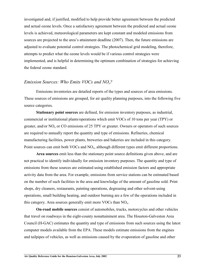investigated and, if justified, modified to help provide better agreement between the predicted and actual ozone levels. Once a satisfactory agreement between the predicted and actual ozone levels is achieved, meteorological parameters are kept constant and modeled emissions from sources are projected to the area's attainment deadline (2007). Then, the future emissions are adjusted to evaluate potential control strategies. The photochemical grid modeling, therefore, attempts to predict what the ozone levels would be if various control strategies were implemented, and is helpful in determining the optimum combination of strategies for achieving the federal ozone standard.

## *Emission Sources: Who Emits VOCs and NOx?*

Emissions inventories are detailed reports of the types and sources of area emissions. These sources of emissions are grouped, for air quality planning purposes, into the following five source categories.

**Stationary point sources** are defined, for emission inventory purposes, as industrial, commercial or institutional plants/operations which emit VOCs of 10 tons per year (TPY) or greater, and/or  $NO<sub>x</sub>$  or CO emissions of 25 TPY or greater. Owners or operators of such sources are required to annually report the quantity and type of emissions. Refineries, chemical manufacturing facilities, power plants, breweries and bakeries are included in this category. Point sources can emit both VOCs and  $NO<sub>x</sub>$ , although different types emit different proportions.

**Area sources** emit less than the stationary point source definitions given above, and are not practical to identify individually for emission inventory purposes. The quantity and type of emissions from these sources are estimated using established emission factors and appropriate activity data from the area. For example, emissions from service stations can be estimated based on the number of such facilities in the area and knowledge of the amount of gasoline sold. Print shops, dry cleaners, restaurants, painting operations, degreasing and other solvent-using operations, small building heating, and outdoor burning are a few of the operations included in this category. Area sources generally emit more VOCs than  $NO<sub>x</sub>$ .

**On-road mobile sources** consist of automobiles, trucks, motorcycles and other vehicles that travel on roadways in the eight-county nonattainment area. The Houston-Galveston Area Council (H-GAC) estimates the quantity and type of emissions from such sources using the latest computer models available from the EPA. These models estimate emissions from the engines and tailpipes of vehicles, as well as emissions caused by the evaporation of gasoline and other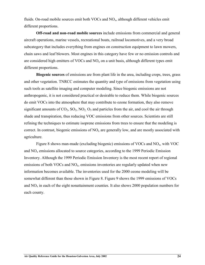fluids. On-road mobile sources emit both VOCs and  $NO<sub>x</sub>$ , although different vehicles emit different proportions.

**Off-road and non-road mobile sources** include emissions from commercial and general aircraft operations, marine vessels, recreational boats, railroad locomotives, and a very broad subcategory that includes everything from engines on construction equipment to lawn mowers, chain saws and leaf blowers. Most engines in this category have few or no emission controls and are considered high emitters of VOCs and  $NO<sub>x</sub>$  on a unit basis, although different types emit different proportions.

**Biogenic sources** of emissions are from plant life in the area, including crops, trees, grass and other vegetation. TNRCC estimates the quantity and type of emissions from vegetation using such tools as satellite imaging and computer modeling. Since biogenic emissions are not anthropogenic, it is not considered practical or desirable to reduce them. While biogenic sources do emit VOCs into the atmosphere that may contribute to ozone formation, they also remove significant amounts of  $CO_2$ ,  $SO_2$ ,  $NO_2$ ,  $O_3$  and particles from the air, and cool the air through shade and transpiration, thus reducing VOC emissions from other sources. Scientists are still refining the techniques to estimate isoprene emissions from trees to ensure that the modeling is correct. In contrast, biogenic emissions of  $NO<sub>x</sub>$  are generally low, and are mostly associated with agriculture.

Figure 8 shows man-made (excluding biogenic) emissions of VOCs and  $NO<sub>x</sub>$ , with VOC and  $NO<sub>x</sub>$  emissions allocated to source categories, according to the 1999 Periodic Emission Inventory. Although the 1999 Periodic Emission Inventory is the most recent report of regional emissions of both VOCs and  $NO<sub>x</sub>$ , emissions inventories are regularly updated when new information becomes available. The inventories used for the 2000 ozone modeling will be somewhat different than those shown in Figure 8. Figure 9 shows the 1999 emissions of VOCs and  $NO<sub>x</sub>$  in each of the eight nonattainment counties. It also shows 2000 population numbers for each county.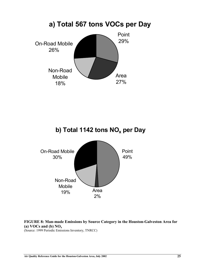

# **b) Total 1142 tons NO<sub>x</sub> per Day**



**FIGURE 8: Man-made Emissions by Source Category in the Houston-Galveston Area for (a) VOCs and (b) NOx**

(Source: 1999 Periodic Emissions Inventory, TNRCC)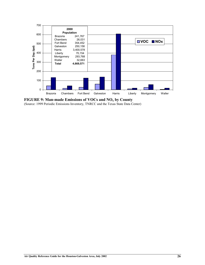

**FIGURE 9: Man-made Emissions of VOCs and NOx by County**

(Source: 1999 Periodic Emissions Inventory, TNRCC and the Texas State Data Center)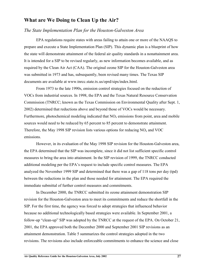## **What are We Doing to Clean Up the Air?**

## *The State Implementation Plan for the Houston-Galveston Area*

EPA regulations require states with areas failing to attain one or more of the NAAQS to prepare and execute a State Implementation Plan (SIP). This dynamic plan is a blueprint of how the state will demonstrate attainment of the federal air quality standards in a nonattainment area. It is intended for a SIP to be revised regularly, as new information becomes available, and as required by the Clean Air Act (CAA). The original ozone SIP for the Houston-Galveston area was submitted in 1973 and has, subsequently, been revised many times. The Texas SIP documents are available at www.tnrcc.state.tx.us/oprd/sips/index.html.

From 1973 to the late 1990s, emission control strategies focused on the reduction of VOCs from industrial sources. In 1998, the EPA and the Texas Natural Resource Conservation Commission (TNRCC; known as the Texas Commission on Environmental Quality after Sept. 1, 2002) determined that reductions above and beyond those of VOCs would be necessary. Furthermore, photochemical modeling indicated that  $NO<sub>x</sub>$  emissions from point, area and mobile sources would need to be reduced by 65 percent to 85 percent to demonstrate attainment. Therefore, the May 1998 SIP revision lists various options for reducing  $NO<sub>x</sub>$  and VOC emissions.

However, in its evaluation of the May 1998 SIP revision for the Houston-Galveston area, the EPA determined that the SIP was incomplete, since it did not list sufficient specific control measures to bring the area into attainment. In the SIP revision of 1999, the TNRCC conducted additional modeling per the EPA's request to include specific control measures. The EPA analyzed the November 1999 SIP and determined that there was a gap of 118 tons per day (tpd) between the reductions in the plan and those needed for attainment. The EPA required the immediate submittal of further control measures and commitments.

In December 2000, the TNRCC submitted its ozone attainment demonstration SIP revision for the Houston-Galveston area to meet its commitments and reduce the shortfall in the SIP. For the first time, the agency was forced to adopt strategies that influenced behavior because no additional technologically based strategies were available. In September 2001, a follow-up "clean-up" SIP was adopted by the TNRCC at the request of the EPA. On October 21, 2001, the EPA approved both the December 2000 and September 2001 SIP revisions as an attainment demonstration. Table 5 summarizes the control strategies adopted in the two revisions. The revisions also include enforceable commitments to enhance the science and close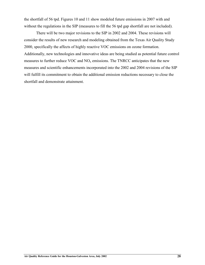the shortfall of 56 tpd. Figures 10 and 11 show modeled future emissions in 2007 with and without the regulations in the SIP (measures to fill the 56 tpd gap shortfall are not included).

There will be two major revisions to the SIP in 2002 and 2004. These revisions will consider the results of new research and modeling obtained from the Texas Air Quality Study 2000, specifically the affects of highly reactive VOC emissions on ozone formation. Additionally, new technologies and innovative ideas are being studied as potential future control measures to further reduce VOC and  $NO<sub>x</sub>$  emissions. The TNRCC anticipates that the new measures and scientific enhancements incorporated into the 2002 and 2004 revisions of the SIP will fulfill its commitment to obtain the additional emission reductions necessary to close the shortfall and demonstrate attainment.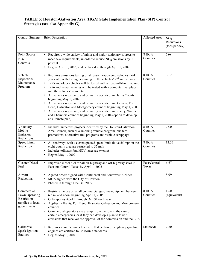# **TABLE 5: Houston-Galveston Area (HGA) State Implementation Plan (SIP) Control Strategies (see also Appendix G)**

| <b>Control Strategy</b>                                                          | <b>Brief Description</b>                                                                                                                                                                                                                                                                                                                                                                                                                                                                                                                                                                                                                                                                                                                                                     | Affected Area         | NO <sub>x</sub><br>Reductions<br>(tons per day) |
|----------------------------------------------------------------------------------|------------------------------------------------------------------------------------------------------------------------------------------------------------------------------------------------------------------------------------------------------------------------------------------------------------------------------------------------------------------------------------------------------------------------------------------------------------------------------------------------------------------------------------------------------------------------------------------------------------------------------------------------------------------------------------------------------------------------------------------------------------------------------|-----------------------|-------------------------------------------------|
| Point Source<br>NO <sub>x</sub><br>Controls                                      | Requires a wide variety of minor and major stationary sources to<br>$\bullet$<br>meet new requirements, in order to reduce $NOx$ emissions by 90<br>percent<br>Begins April 1, 2003, and is phased in through April 1, 2007<br>$\bullet$                                                                                                                                                                                                                                                                                                                                                                                                                                                                                                                                     | 8 HGA<br>Counties     | 586                                             |
| Vehicle<br>Inspection/<br>Maintenance<br>Program                                 | Requires emissions testing of all gasoline-powered vehicles 2-24<br>$\bullet$<br>years old, with testing beginning on the vehicles' $2nd$ anniversary<br>1995 and older vehicles will be tested with a treadmill-like machine<br>1996 and newer vehicles will be tested with a computer that plugs<br>into the vehicles' computer<br>All vehicles registered, and primarily operated, in Harris County<br>$\bullet$<br>beginning May 1, 2002<br>All vehicles registered, and primarily operated, in Brazoria, Fort<br>$\bullet$<br>Bend, Galveston and Montgomery counties beginning May 1, 2003<br>All vehicles registered, and primarily operated, in Liberty, Waller<br>$\bullet$<br>and Chambers counties beginning May 1, 2004 (option to develop<br>an alternate plan) | 8 HGA<br>Counties     | 36.20                                           |
| Voluntary<br>Mobile<br>Emission<br>Reductions                                    | Includes numerous projects identified by the Houston-Galveston<br>$\bullet$<br>Area Council, such as a smoking vehicle program, bus fare<br>promotions, alternative fuel programs and vehicle scrappage                                                                                                                                                                                                                                                                                                                                                                                                                                                                                                                                                                      | 8 HGA<br>Counties     | 23.00                                           |
| Speed Limit<br>Reduction                                                         | All roadways with a current posted speed limit above 55 mph in the<br>$\bullet$<br>eight-county area are restricted to 55 mph<br>Includes tollways, but HOV lanes are exempt<br>Begins May 1, 2002                                                                                                                                                                                                                                                                                                                                                                                                                                                                                                                                                                           | 8 HGA<br>Counties     | 12.33                                           |
| <b>Cleaner Diesel</b><br>Fuel                                                    | Improved diesel fuel for all on-highway and off-highway sales in<br>$\bullet$<br>East and Central Texas by April 1, 2005                                                                                                                                                                                                                                                                                                                                                                                                                                                                                                                                                                                                                                                     | East/Central<br>Texas | 6.67                                            |
| Airport<br>Reductions                                                            | Agreed orders signed with Continental and Southwest Airlines<br>$\bullet$<br>MOA signed with the City of Houston<br>Phased in through Dec. 31, 2005<br>$\bullet$                                                                                                                                                                                                                                                                                                                                                                                                                                                                                                                                                                                                             |                       | 5.09                                            |
| Commercial<br>Lawn Operating<br>Restriction<br>(applies to local<br>governments) | • Restricts the use of small commercial gasoline equipment between<br>6 a.m. and noon, beginning April 1, 2005<br>Only applies April 1 through Oct. 31 each year<br>$\bullet$<br>Applies in Harris, Fort Bend, Brazoria, Galveston and Montgomery<br>$\bullet$<br>counties<br>Commercial operators are exempt from the rule in the case of<br>$\bullet$<br>certain emergencies, or if they can develop a plan to lower<br>emissions that receives the approval of the commission and the EPA                                                                                                                                                                                                                                                                                 | 8 HGA<br>Counties     | 4.60<br>(equivalent)                            |
| California<br>Spark-Ignition<br>Engines                                          | Requires manufacturers to ensure that certain off-highway gasoline<br>$\bullet$<br>engines are certified to California standards<br>Begins May 1, 2004<br>$\bullet$                                                                                                                                                                                                                                                                                                                                                                                                                                                                                                                                                                                                          | Statewide             | 2.80                                            |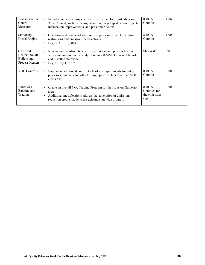| Transportation<br>Control<br>Measures                                | Includes numerous projects identified by the Houston-Galveston<br>$\bullet$<br>Area Council, such traffic signalization, bicycle/pedestrian projects,<br>intersection improvements, and park and ride lots                      | 8 HGA<br>Counties                             | 1.06 |
|----------------------------------------------------------------------|---------------------------------------------------------------------------------------------------------------------------------------------------------------------------------------------------------------------------------|-----------------------------------------------|------|
| Stationary<br>Diesel Engine                                          | Operators and owners of stationary engines must meet operating<br>$\bullet$<br>restrictions and emission specifications<br>Begins April 1, 2004<br>$\bullet$                                                                    | 8 HGA<br>Counties                             | 1.00 |
| Gas-fired<br>Heaters, Small<br>Boilers and<br><b>Process Heaters</b> | New natural gas-fired heaters, small boilers and process heaters<br>$\bullet$<br>with a maximum rate capacity of up to 2.0 MM Btu/hr will be sold<br>and installed statewide<br>Begins July 1, 2002<br>$\bullet$                | Statewide                                     | .50  |
| <b>VOC Controls</b>                                                  | Implement additional control technology requirements for batch<br>$\bullet$<br>processes, bakeries and offset lithographic printers to reduce VOC<br>emissions                                                                  | 8 HGA<br>Counties                             | 0.00 |
| Emissions<br>Banking and<br>Trading                                  | Create an overall $NOx$ Trading Program for the Houston-Galveston<br>$\bullet$<br>area<br>Additional modifications address the generation of emissions<br>$\bullet$<br>reduction credits made to the existing statewide program | 8 HGA<br>Counties for<br>the emissions<br>cap | 0.00 |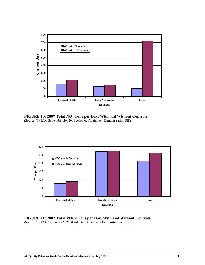

**FIGURE 10: 2007 Total NOx Tons per Day, With and Without Controls** (Source: TNRCC September 26, 2001 Adopted Attainment Demonstration SIP)



**FIGURE 11: 2007 Total VOCs Tons per Day, With and Without Controls** (Source: TNRCC December 6, 2000 Adopted Attainment Demonstration SIP)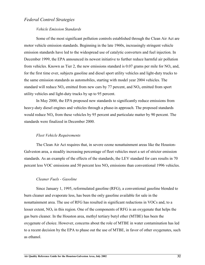# *Federal Control Strategies*

#### *Vehicle Emission Standards*

Some of the most significant pollution controls established through the Clean Air Act are motor vehicle emission standards. Beginning in the late 1960s, increasingly stringent vehicle emission standards have led to the widespread use of catalytic converters and fuel injection. In December 1999, the EPA announced its newest initiative to further reduce harmful air pollution from vehicles. Known as Tier 2, the new emissions standard is 0.07 grams per mile for  $NO<sub>x</sub>$  and, for the first time ever, subjects gasoline and diesel sport utility vehicles and light-duty trucks to the same emission standards as automobiles, starting with model year 2004 vehicles. The standard will reduce  $NO_x$  emitted from new cars by 77 percent, and  $NO_x$  emitted from sport utility vehicles and light-duty trucks by up to 95 percent.

In May 2000, the EPA proposed new standards to significantly reduce emissions from heavy-duty diesel engines and vehicles through a phase-in approach. The proposed standards would reduce  $NO<sub>x</sub>$  from these vehicles by 95 percent and particulate matter by 90 percent. The standards were finalized in December 2000.

#### *Fleet Vehicle Requirements*

The Clean Air Act requires that, in severe ozone nonattainment areas like the Houston-Galveston area, a steadily increasing percentage of fleet vehicles meet a set of stricter emission standards. As an example of the effects of the standards, the LEV standard for cars results in 70 percent less VOC emissions and 50 percent less  $NO<sub>x</sub>$  emissions than conventional 1996 vehicles.

#### *Cleaner Fuels - Gasoline*

Since January 1, 1995, reformulated gasoline (RFG), a conventional gasoline blended to burn cleaner and evaporate less, has been the only gasoline available for sale in the nonattainment area. The use of RFG has resulted in significant reductions in VOCs and, to a lesser extent,  $NO<sub>x</sub>$  in this region. One of the components of RFG is an oxygenate that helps the gas burn cleaner. In the Houston area, methyl tertiary butyl ether (MTBE) has been the oxygenate of choice. However, concerns about the role of MTBE in water contamination has led to a recent decision by the EPA to phase out the use of MTBE, in favor of other oxygenates, such as ethanol.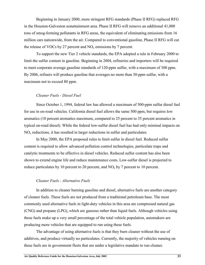Beginning in January 2000, more stringent RFG standards (Phase II RFG) replaced RFG in the Houston-Galveston nonattainment area. Phase II RFG will remove an additional 41,000 tons of smog-forming pollutants in RFG areas, the equivalent of eliminating emissions from 16 million cars nationwide, from the air. Compared to conventional gasoline, Phase II RFG will cut the release of VOCs by 27 percent and  $NO<sub>x</sub>$  emissions by 7 percent.

To support the new Tier 2 vehicle standards, the EPA adopted a rule in February 2000 to limit the sulfur content in gasoline. Beginning in 2004, refineries and importers will be required to meet corporate average gasoline standards of 120-ppm sulfur, with a maximum of 300 ppm. By 2006, refiners will produce gasoline that averages no more than 30-ppm sulfur, with a maximum not to exceed 80 ppm.

#### *Cleaner Fuels - Diesel Fuel*

Since October 1, 1994, federal law has allowed a maximum of 500-ppm sulfur diesel fuel for use in on-road vehicles. California diesel fuel allows the same 500 ppm, but requires low aromatics (10 percent aromatics maximum, compared to 25 percent to 35 percent aromatics in typical on-road diesel). While the federal low-sulfur diesel fuel has had only minimal impacts on  $NO<sub>x</sub>$  reductions, it has resulted in larger reductions in sulfur and particulates.

In May 2000, the EPA proposed rules to limit sulfur in diesel fuel. Reduced sulfur content is required to allow advanced pollution control technologies, particulate traps and catalytic treatments to be effective in diesel vehicles. Reduced sulfur content has also been shown to extend engine life and reduce maintenance costs. Low-sulfur diesel is projected to reduce particulates by 10 percent to 20 percent, and  $NO<sub>x</sub>$  by 7 percent to 10 percent.

#### *Cleaner Fuels - Alternative Fuels*

In addition to cleaner burning gasoline and diesel, alternative fuels are another category of cleaner fuels. These fuels are not produced from a traditional petroleum base. The most commonly used alternative fuels in light-duty vehicles in this area are compressed natural gas (CNG) and propane (LPG), which are gaseous rather than liquid fuels. Although vehicles using these fuels make up a very small percentage of the total vehicle population, automakers are producing more vehicles that are equipped to run using these fuels.

The advantage of using alternative fuels is that they burn cleaner without the use of additives, and produce virtually no particulates. Currently, the majority of vehicles running on these fuels are in government fleets that are under a legislative mandate to run cleaner.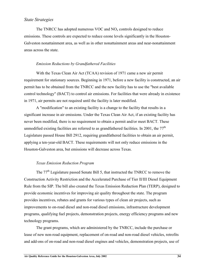# *State Strategies*

The TNRCC has adopted numerous VOC and  $NO<sub>x</sub>$  controls designed to reduce emissions. These controls are expected to reduce ozone levels significantly in the Houston-Galveston nonattainment area, as well as in other nonattainment areas and near-nonattainment areas across the state.

#### *Emission Reductions by Grandfathered Facilities*

With the Texas Clean Air Act (TCAA) revision of 1971 came a new air permit requirement for stationary sources. Beginning in 1971, before a new facility is constructed, an air permit has to be obtained from the TNRCC and the new facility has to use the "best available control technology" (BACT) to control air emissions. For facilities that were already in existence in 1971, air permits are not required until the facility is later modified.

A "modification" to an existing facility is a change to the facility that results in a significant increase in air emissions. Under the Texas Clean Air Act, if an existing facility has never been modified, there is no requirement to obtain a permit and/or meet BACT. These unmodified existing facilities are referred to as grandfathered facilities. In 2001, the  $77<sup>th</sup>$ Legislature passed House Bill 2912, requiring grandfathered facilities to obtain an air permit, applying a ten-year-old BACT. These requirements will not only reduce emissions in the Houston-Galveston area, but emissions will decrease across Texas.

### *Texas Emission Reduction Program*

The 77th Legislature passed Senate Bill 5, that instructed the TNRCC to remove the Construction Activity Restriction and the Accelerated Purchase of Tier II/III Diesel Equipment Rule from the SIP. The bill also created the Texas Emission Reduction Plan (TERP), designed to provide economic incentives for improving air quality throughout the state. The program provides incentives, rebates and grants for various types of clean air projects, such as improvements to on-road diesel and non-road diesel emissions, infrastructure development programs, qualifying fuel projects, demonstration projects, energy efficiency programs and new technology programs.

The grant programs, which are administered by the TNRCC, include the purchase or lease of new non-road equipment, replacement of on-road and non-road diesel vehicles, retrofits and add-ons of on-road and non-road diesel engines and vehicles, demonstration projects, use of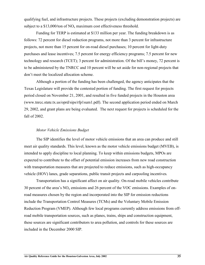qualifying fuel, and infrastructure projects. These projects (excluding demonstration projects) are subject to a  $$13,000$ /ton of NO<sub>x</sub> maximum cost effectiveness threshold.

Funding for TERP is estimated at \$133 million per year. The funding breakdown is as follows: 72 percent for diesel reduction programs, not more than 3 percent for infrastructure projects, not more than 15 percent for on-road diesel purchases; 10 percent for light-duty purchases and lease incentives; 7.5 percent for energy efficiency programs; 7.5 percent for new technology and research (TCET); 3 percent for administration. Of the bill's money, 72 percent is to be administered by the TNRCC and 10 percent will be set aside for non-regional projects that don't meet the localized allocation scheme.

Although a portion of the funding has been challenged, the agency anticipates that the Texas Legislature will provide the contested portion of funding. The first request for projects period closed on November 21, 2001, and resulted in five funded projects in the Houston area (www.tnrcc.state.tx.us/oprd/sips/rfp1sum1.pdf). The second application period ended on March 29, 2002, and grant plans are being evaluated. The next request for projects is scheduled for the fall of 2002.

#### *Motor Vehicle Emissions Budget*

The SIP identifies the level of motor vehicle emissions that an area can produce and still meet air quality standards. This level, known as the motor vehicle emissions budget (MVEB), is intended to apply discipline to local planning. To keep within emissions budgets, MPOs are expected to contribute to the offset of potential emission increases from new road construction with transportation measures that are projected to reduce emissions, such as high-occupancy vehicle (HOV) lanes, grade separations, public transit projects and carpooling incentives*.*

Transportation has a significant affect on air quality. On-road mobile vehicles contribute 30 percent of the area's  $NO<sub>x</sub>$  emissions and 26 percent of the VOC emissions. Examples of onroad measures chosen by the region and incorporated into the SIP for emission reductions include the Transportation Control Measures (TCMs) and the Voluntary Mobile Emission Reduction Program (VMEP). Although few local programs currently address emissions from offroad mobile transportation sources, such as planes, trains, ships and construction equipment, these sources are significant contributors to area pollution, and controls for these sources are included in the December 2000 SIP.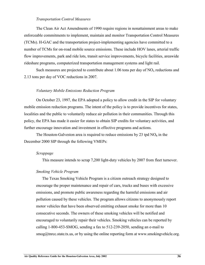#### *Transportation Control Measures*

The Clean Air Act Amendments of 1990 require regions in nonattainment areas to make enforceable commitments to implement, maintain and monitor Transportation Control Measures (TCMs). H-GAC and the transportation project-implementing agencies have committed to a number of TCMs for on-road mobile source emissions. These include HOV lanes, arterial traffic flow improvements, park and ride lots, transit service improvements, bicycle facilities, areawide rideshare programs, computerized transportation management systems and light rail.

Such measures are projected to contribute about 1.06 tons per day of  $NO<sub>x</sub>$  reductions and 2.13 tons per day of VOC reductions in 2007.

#### *Voluntary Mobile Emissions Reduction Program*

On October 23, 1997, the EPA adopted a policy to allow credit in the SIP for voluntary mobile emission reduction programs. The intent of the policy is to provide incentives for states, localities and the public to voluntarily reduce air pollution in their communities. Through this policy, the EPA has made it easier for states to obtain SIP credits for voluntary activities, and further encourage innovation and investment in effective programs and actions.

The Houston-Galveston area is required to reduce emissions by 23 tpd  $NO<sub>x</sub>$  in the December 2000 SIP through the following VMEPs:

#### *Scrappage*

This measure intends to scrap 7,200 light-duty vehicles by 2007 from fleet turnover.

#### *Smoking Vehicle Program*

The Texas Smoking Vehicle Program is a citizen outreach strategy designed to encourage the proper maintenance and repair of cars, trucks and buses with excessive emissions, and promote public awareness regarding the harmful emissions and air pollution caused by these vehicles. The program allows citizens to anonymously report motor vehicles that have been observed emitting exhaust smoke for more than 10 consecutive seconds. The owners of these smoking vehicles will be notified and encouraged to voluntarily repair their vehicles. Smoking vehicles can be reported by calling 1-800-453-SMOG, sending a fax to 512-239-2050, sending an e-mail to  $\text{smog@threc}.$  state.tx.us, or by using the online reporting form at www.smokingvehicle.org.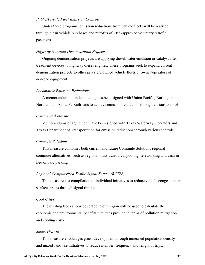#### *Public/Private Fleet Emission Controls*

Under these programs, emission reductions from vehicle fleets will be realized through clean vehicle purchases and retrofits of EPA-approved voluntary retrofit packages.

#### *Highway/Nonroad Demonstration Projects*

Ongoing demonstration projects are applying diesel/water emulsion or catalyst aftertreatment devices to highway diesel engines. These programs seek to expand current demonstration projects to other privately owned vehicle fleets or owner/operators of nonroad equipment.

#### *Locomotive Emission Reductions*

A memorandum of understanding has been signed with Union Pacific, Burlington Northern and Santa Fe Railroads to achieve emission reductions through various controls.

### *Commercial Marine*

Memorandums of agreement have been signed with Texas Waterway Operators and Texas Department of Transportation for emission reductions through various controls.

#### *Commute Solutions*

This measure combines both current and future Commute Solutions regional commute alternatives, such as regional mass transit, vanpooling, teleworking and cash in lieu of paid parking.

#### *Regional Computerized Traffic Signal System (RCTSS)*

This measure is a compilation of individual initiatives to reduce vehicle congestion on surface streets through signal timing.

#### *Cool Cities*

The existing tree canopy coverage in our region will be used to calculate the economic and environmental benefits that trees provide in terms of pollution mitigation and cooling costs.

#### *Smart Growth*

This measure encourages green development through increased population density and mixed-land use initiatives to reduce number, frequency and length of trips.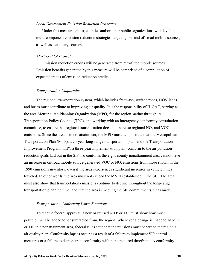#### *Local Government Emission Reduction Programs*

Under this measure, cities, counties and/or other public organizations will develop multi-component emission reduction strategies targeting on- and off-road mobile sources, as well as stationary sources.

#### *AERCO Pilot Project*

Emission reduction credits will be generated from retrofitted mobile sources. Emission benefits generated by this measure will be comprised of a compilation of expected trades of emission reduction credits.

#### *Transportation Conformity*

The regional transportation system, which includes freeways, surface roads, HOV lanes and buses must contribute to improving air quality. It is the responsibility of H-GAC, serving as the area Metropolitan Planning Organization (MPO) for the region, acting through its Transportation Policy Council (TPC), and working with an interagency conformity consultation committee, to ensure that regional transportation does not increase regional  $NO<sub>x</sub>$  and  $VOC$ emissions. Since the area is in nonattainment, the MPO must demonstrate that the Metropolitan Transportation Plan (MTP), a 20-year long-range transportation plan, and the Transportation Improvement Program (TIP), a three-year implementation plan, conform to the air pollution reduction goals laid out in the SIP. To conform, the eight-county nonattainment area cannot have an increase in on-road mobile source-generated VOC or  $NO<sub>x</sub>$  emissions from those shown in the 1990 emissions inventory, even if the area experiences significant increases in vehicle miles traveled. In other words, the area must not exceed the MVEB established in the SIP. The area must also show that transportation emissions continue to decline throughout the long-range transportation planning time, and that the area is meeting the SIP commitments it has made.

#### *Transportation Conformity Lapse Situations*

To receive federal approval, a new or revised MTP or TIP must show how much pollution will be added to, or subtracted from, the region. Whenever a change is made to an MTP or TIP in a nonattainment area, federal rules state that the revisions must adhere to the region's air quality plan. Conformity lapses occur as a result of a failure to implement SIP control measures or a failure to demonstrate conformity within the required timeframe. A conformity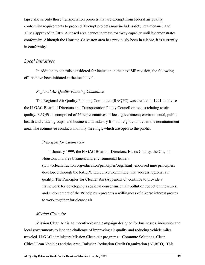lapse allows only those transportation projects that are exempt from federal air quality conformity requirements to proceed. Exempt projects may include safety, maintenance and TCMs approved in SIPs. A lapsed area cannot increase roadway capacity until it demonstrates conformity. Although the Houston-Galveston area has previously been in a lapse, it is currently in conformity.

### *Local Initiatives*

In addition to controls considered for inclusion in the next SIP revision, the following efforts have been initiated at the local level.

#### *Regional Air Quality Planning Committee*

The Regional Air Quality Planning Committee (RAQPC) was created in 1991 to advise the H-GAC Board of Directors and Transportation Policy Council on issues relating to air quality. RAQPC is comprised of 26 representatives of local government; environmental, public health and citizen groups; and business and industry from all eight counties in the nonattainment area. The committee conducts monthly meetings, which are open to the public.

#### *Principles for Cleaner Air*

In January 1999, the H-GAC Board of Directors, Harris County, the City of Houston, and area business and environmental leaders (www.cleanairaction.org/education/principles/orgs.html) endorsed nine principles, developed through the RAQPC Executive Committee, that address regional air quality. The Principles for Cleaner Air (Appendix C) continue to provide a framework for developing a regional consensus on air pollution reduction measures, and endorsement of the Principles represents a willingness of diverse interest groups to work together for cleaner air.

#### *Mission Clean Air*

Mission Clean Air is an incentive-based campaign designed for businesses, industries and local governments to lead the challenge of improving air quality and reducing vehicle miles traveled. H-GAC administers Mission Clean Air programs – Commute Solutions, Clean Cities/Clean Vehicles and the Area Emission Reduction Credit Organization (AERCO). This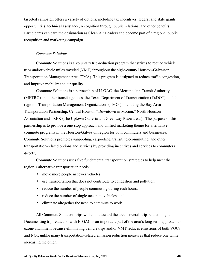targeted campaign offers a variety of options, including tax incentives, federal and state grants opportunities, technical assistance, recognition through public relations, and other benefits. Participants can earn the designation as Clean Air Leaders and become part of a regional public recognition and marketing campaign.

#### *Commute Solutions*

Commute Solutions is a voluntary trip-reduction program that strives to reduce vehicle trips and/or vehicle miles traveled (VMT) throughout the eight-county Houston-Galveston Transportation Management Area (TMA). This program is designed to reduce traffic congestion, and improve mobility and air quality.

Commute Solutions is a partnership of H-GAC, the Metropolitan Transit Authority (METRO) and other transit agencies, the Texas Department of Transportation (TxDOT), and the region's Transportation Management Organizations (TMOs), including the Bay Area Transportation Partnership, Central Houston "Downtown in Motion," North Houston Association and TREK (The Uptown Galleria and Greenway Plaza areas). The purpose of this partnership is to provide a one-stop approach and unified marketing theme for alternative commute programs in the Houston-Galveston region for both commuters and businesses. Commute Solutions promotes vanpooling, carpooling, transit, telecommuting, and other transportation-related options and services by providing incentives and services to commuters directly.

Commute Solutions uses five fundamental transportation strategies to help meet the region's alternative transportation needs:

- move more people in fewer vehicles;
- use transportation that does not contribute to congestion and pollution;
- reduce the number of people commuting during rush hours;
- reduce the number of single occupant vehicles; and
- eliminate altogether the need to commute to work.

All Commute Solutions trips will count toward the area's overall trip-reduction goal. Documenting trip reduction with H-GAC is an important part of the area's long-term approach to ozone attainment because eliminating vehicle trips and/or VMT reduces emissions of both VOCs and  $NO<sub>x</sub>$ , unlike many transportation-related emission reduction measures that reduce one while increasing the other.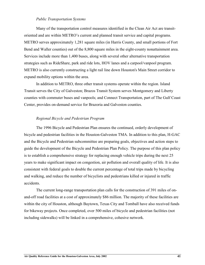#### *Public Transportation Systems*

Many of the transportation control measures identified in the Clean Air Act are transitoriented and are within METRO's current and planned transit service and capital programs. METRO serves approximately 1,281 square miles (in Harris County, and small portions of Fort Bend and Waller counties) out of the 8,800 square miles in the eight-county nonattainment area. Services include more than 1,400 buses, along with several other alternative transportation strategies such as RideShare, park and ride lots, HOV lanes and a carpool/vanpool program. METRO is also currently constructing a light rail line down Houston's Main Street corridor to expand mobility options within the area.

In addition to METRO, three other transit systems operate within the region. Island Transit serves the City of Galveston; Brazos Transit System serves Montgomery and Liberty counties with commuter buses and vanpools; and Connect Transportation, part of The Gulf Coast Center, provides on-demand service for Brazoria and Galveston counties.

#### *Regional Bicycle and Pedestrian Program*

The 1996 Bicycle and Pedestrian Plan ensures the continued, orderly development of bicycle and pedestrian facilities in the Houston-Galveston TMA. In addition to this plan, H-GAC and the Bicycle and Pedestrian subcommittee are preparing goals, objectives and action steps to guide the development of the Bicycle and Pedestrian Plan Policy. The purpose of this plan policy is to establish a comprehensive strategy for replacing enough vehicle trips during the next 25 years to make significant impact on congestion, air pollution and overall quality of life. It is also consistent with federal goals to double the current percentage of total trips made by bicycling and walking, and reduce the number of bicyclists and pedestrians killed or injured in traffic accidents.

The current long-range transportation plan calls for the construction of 391 miles of onand-off road facilities at a cost of approximately \$86 million. The majority of these facilities are within the city of Houston, although Baytown, Texas City and Tomball have also received funds for bikeway projects. Once completed, over 500 miles of bicycle and pedestrian facilities (not including sidewalks) will be linked in a comprehensive, cohesive network.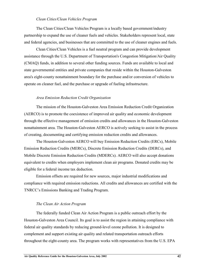#### *Clean Cities/Clean Vehicles Program*

The Clean Cities/Clean Vehicles Program is a locally based government/industry partnership to expand the use of cleaner fuels and vehicles. Stakeholders represent local, state and federal agencies, and businesses that are committed to the use of cleaner engines and fuels.

Clean Cities/Clean Vehicles is a fuel neutral program and can provide development assistance through the U.S. Department of Transportation's Congestion Mitigation/Air Quality (CMAQ) funds, in addition to several other funding sources. Funds are available to local and state governmental entities and private companies that reside within the Houston-Galveston area's eight-county nonattainment boundary for the purchase and/or conversion of vehicles to operate on cleaner fuel, and the purchase or upgrade of fueling infrastructure.

#### *Area Emission Reduction Credit Organization*

The mission of the Houston-Galveston Area Emission Reduction Credit Organization (AERCO) is to promote the coexistence of improved air quality and economic development through the effective management of emission credits and allowances in the Houston-Galveston nonattainment area. The Houston-Galveston AERCO is actively seeking to assist in the process of creating, documenting and certifying emission reduction credits and allowances.

The Houston-Galveston AERCO will buy Emission Reduction Credits (ERCs), Mobile Emission Reduction Credits (MERCs), Discrete Emission Reduction Credits (DERCs), and Mobile Discrete Emission Reduction Credits (MDERCs). AERCO will also accept donations equivalent to credits when employers implement clean air programs. Donated credits may be eligible for a federal income tax deduction.

Emission offsets are required for new sources, major industrial modifications and compliance with required emission reductions. All credits and allowances are certified with the TNRCC's Emissions Banking and Trading Program.

#### *The Clean Air Action Program*

The federally funded Clean Air Action Program is a public outreach effort by the Houston-Galveston Area Council. Its goal is to assist the region in attaining compliance with federal air quality standards by reducing ground-level ozone pollution. It is designed to complement and support existing air quality and related transportation outreach efforts throughout the eight-county area. The program works with representatives from the U.S. EPA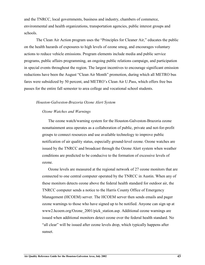and the TNRCC, local governments, business and industry, chambers of commerce, environmental and health organizations, transportation agencies, public interest groups and schools.

The Clean Air Action program uses the "Principles for Cleaner Air," educates the public on the health hazards of exposures to high levels of ozone smog, and encourages voluntary actions to reduce vehicle emissions. Program elements include media and public service programs, public affairs programming, an ongoing public relations campaign, and participation in special events throughout the region. The largest incentives to encourage significant emission reductions have been the August "Clean Air Month" promotion, during which all METRO bus fares were subsidized by 50 percent, and METRO's Clean Air U.Pass, which offers free bus passes for the entire fall semester to area college and vocational school students.

#### *Houston-Galveston-Brazoria Ozone Alert System*

#### *Ozone Watches and Warnings*

The ozone watch/warning system for the Houston-Galveston-Brazoria ozone nonattainment area operates as a collaboration of public, private and not-for-profit groups to connect resources and use available technology to improve public notification of air quality status, especially ground-level ozone. Ozone watches are issued by the TNRCC and broadcast through the Ozone Alert system when weather conditions are predicted to be conducive to the formation of excessive levels of ozone.

Ozone levels are measured at the regional network of 27 ozone monitors that are connected to one central computer operated by the TNRCC in Austin. When any of these monitors detects ozone above the federal health standard for outdoor air, the TNRCC computer sends a notice to the Harris County Office of Emergency Management (HCOEM) server. The HCOEM server then sends emails and pager ozone warnings to those who have signed up to be notified. Anyone can sign up at www2.hcoem.org/Ozone\_2001/pick\_station.asp. Additional ozone warnings are issued when additional monitors detect ozone over the federal health standard. No "all clear" will be issued after ozone levels drop, which typically happens after sunset.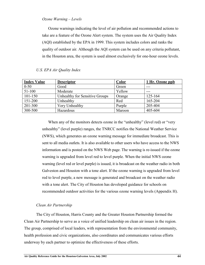#### *Ozone Warning – Levels*

Ozone warnings indicating the level of air pollution and recommended actions to take are a feature of the Ozone Alert system. The system uses the Air Quality Index (AQI) established by the EPA in 1999. This system includes colors and ranks the quality of outdoor air*.* Although the AQI system can be used on any criteria pollutant, in the Houston area, the system is used almost exclusively for one-hour ozone levels.

#### *U.S. EPA Air Quality Index*

| <b>Index Value</b> | <b>Descriptor</b>              | Color  | 1 Hr. Ozone ppb |
|--------------------|--------------------------------|--------|-----------------|
| $0 - 50$           | Good                           | Green  | ---             |
| 51-100             | Moderate                       | Yellow | $---$           |
| $101 - 150$        | Unhealthy for Sensitive Groups | Orange | 125-164         |
| 151-200            | Unhealthy                      | Red    | 165-204         |
| 201-300            | Very Unhealthy                 | Purple | 205-404         |
| 300-500            | Hazardous                      | Maroon | 405-604         |

When any of the monitors detects ozone in the "unhealthy" (level red) or "very unhealthy" (level purple) ranges, the TNRCC notifies the National Weather Service (NWS), which generates an ozone warning message for immediate broadcast. This is sent to all media outlets. It is also available to other users who have access to the NWS information and is posted on the NWS Web page. The warning is re-issued if the ozone warning is upgraded from level red to level purple. When the initial NWS ozone warning (level red or level purple) is issued, it is broadcast on the weather radio in both Galveston and Houston with a tone alert. If the ozone warning is upgraded from level red to level purple, a new message is generated and broadcast on the weather radio with a tone alert. The City of Houston has developed guidance for schools on recommended outdoor activities for the various ozone warning levels (Appendix H).

#### *Clean Air Partnership*

The City of Houston, Harris County and the Greater Houston Partnership formed the Clean Air Partnership to serve as a voice of unified leadership on clean air issues in the region. The group, comprised of local leaders, with representation from the environmental community, health profession and civic organizations, also coordinates and communicates various efforts underway by each partner to optimize the effectiveness of these efforts.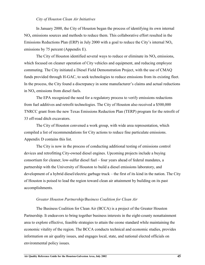#### *City of Houston Clean Air Initiatives*

In January 2000, the City of Houston began the process of identifying its own internal  $NO<sub>x</sub>$  emissions sources and methods to reduce them. This collaborative effort resulted in the Emissions Reductions Plan (ERP) in July 2000 with a goal to reduce the City's internal  $NO<sub>x</sub>$ emissions by 75 percent (Appendix E).

The City of Houston identified several ways to reduce or eliminate its  $NO<sub>x</sub>$  emissions, which focused on cleaner operation of City vehicles and equipment, and reducing employee commuting. The City initiated a Diesel Field Demonstration Project, with the use of CMAQ funds provided through H-GAC, to seek technologies to reduce emissions from its existing fleet. In the process, the City found a discrepancy in some manufacturer's claims and actual reductions in  $NO<sub>x</sub>$  emissions from diesel fuels.

The EPA recognized the need for a regulatory process to verify emissions reductions from fuel additives and retrofit technologies. The City of Houston also received a \$500,000 TNRCC grant from the new Texas Emissions Reduction Plan (TERP) program for the retrofit of 33 off-road ditch excavators.

The City of Houston convened a work group, with wide area representation, which compiled a list of recommendations for City actions to reduce fine particulate emissions. Appendix D contains this list.

The City is now in the process of conducting additional testing of emissions control devices and retrofitting City-owned diesel engines. Upcoming projects include a buying consortium for cleaner, low-sulfur diesel fuel – four years ahead of federal mandates, a partnership with the University of Houston to build a diesel emissions laboratory, and development of a hybrid diesel/electric garbage truck – the first of its kind in the nation. The City of Houston is poised to lead the region toward clean air attainment by building on its past accomplishments.

#### *Greater Houston Partnership/Business Coalition for Clean Air*

The Business Coalition for Clean Air (BCCA) is a project of the Greater Houston Partnership. It endeavors to bring together business interests in the eight-county nonattainment area to explore effective, feasible strategies to attain the ozone standard while maintaining the economic vitality of the region. The BCCA conducts technical and economic studies, provides information on air quality issues, and engages local, state, and national elected officials on environmental policy issues.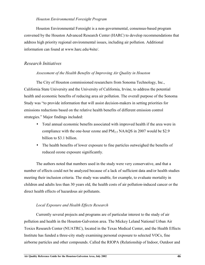#### *Houston Environmental Foresight Program*

Houston Environmental Foresight is a non-governmental, consensus-based program convened by the Houston Advanced Research Center (HARC) to develop recommendations that address high priority regional environmental issues, including air pollution. Additional information can found at www.harc.edu/4site/.

# *Research Initiatives*

### *Assessment of the Health Benefits of Improving Air Quality in Houston*

The City of Houston commissioned researchers from Sonoma Technology, Inc., California State University and the University of California, Irvine, to address the potential health and economic benefits of reducing area air pollution. The overall purpose of the Sonoma Study was "to provide information that will assist decision-makers in setting priorities for emissions reductions based on the relative health benefits of different emission control strategies." Major findings included:

- Total annual economic benefits associated with improved health if the area were in compliance with the one-hour ozone and  $PM_{2.5}$  NAAQS in 2007 would be \$2.9 billion to \$3.1 billion.
- The health benefits of lower exposure to fine particles outweighed the benefits of reduced ozone exposure significantly.

The authors noted that numbers used in the study were very conservative, and that a number of effects could not be analyzed because of a lack of sufficient data and/or health studies meeting their inclusion criteria. The study was unable, for example, to evaluate mortality in children and adults less than 30 years old, the health costs of air pollution-induced cancer or the direct health effects of hazardous air pollutants.

## *Local Exposure and Health Effects Research*

Currently several projects and programs are of particular interest to the study of air pollution and health in the Houston-Galveston area. The Mickey Leland National Urban Air Toxics Research Center (NUATRC), located in the Texas Medical Center, and the Health Effects Institute has funded a three-city study examining personal exposure to selected VOCs, fine airborne particles and other compounds. Called the RIOPA (Relationship of Indoor, Outdoor and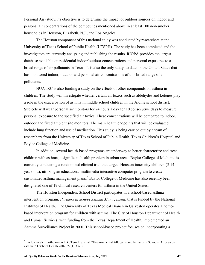Personal Air) study, its objective is to determine the impact of outdoor sources on indoor and personal air concentrations of the compounds mentioned above in at least 100 non-smoker households in Houston, Elizabeth, N.J., and Los Angeles.

The Houston component of this national study was conducted by researchers at the University of Texas School of Public Health (UTSPH). The study has been completed and the investigators are currently analyzing and publishing the results. RIOPA provides the largest database available on residential indoor/outdoor concentrations and personal exposures to a broad range of air pollutants in Texas. It is also the only study, to date, in the United States that has monitored indoor, outdoor and personal air concentrations of this broad range of air pollutants.

NUATRC is also funding a study on the effects of other compounds on asthma in children. The study will investigate whether certain air toxics such as aldehydes and ketones play a role in the exacerbation of asthma in middle school children in the Aldine school district. Subjects will wear personal air monitors for 24 hours a day for 10 consecutive days to measure personal exposure to the specified air toxics. These concentrations will be compared to indoor, outdoor and fixed ambient site monitors. The main health endpoints that will be evaluated include lung function and use of medication. This study is being carried out by a team of researchers from the University of Texas School of Public Health, Texas Children's Hospital and Baylor College of Medicine.

In addition, several health-based programs are underway to better characterize and treat children with asthma, a significant health problem in urban areas. Baylor College of Medicine is currently conducting a randomized clinical trial that targets Houston inner-city children (5-14 years old), utilizing an educational multimedia interactive computer program to create customized asthma management plans.<sup>3</sup> Baylor College of Medicine has also recently been designated one of 19 clinical research centers for asthma in the United States.

The Houston Independent School District participates in a school-based asthma intervention program, *Partners in School Asthma Management*, that is funded by the National Institutes of Health. The University of Texas Medical Branch in Galveston operates a homebased intervention program for children with asthma. The City of Houston Department of Health and Human Services, with funding from the Texas Department of Health, implemented an Asthma Surveillance Project in 2000. This school-based project focuses on incorporating a

<sup>&</sup>lt;sup>3</sup> Tortolero SR, Bartholomew LK, Tyrrell S, et al. "Environmental Allergens and Irritants in Schools: A focus on asthma." J School Health 2002; 72(1):33-38.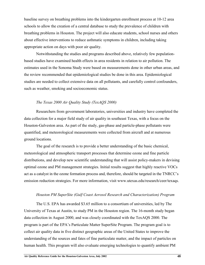baseline survey on breathing problems into the kindergarten enrollment process at 10-12 area schools to allow the creation of a central database to study the prevalence of children with breathing problems in Houston. The project will also educate students, school nurses and others about effective interventions to reduce asthmatic symptoms in children, including taking appropriate action on days with poor air quality.

Notwithstanding the studies and programs described above, relatively few populationbased studies have examined health effects in area residents in relation to air pollution. The estimates used in the Sonoma Study were based on measurements done in other urban areas, and the review recommended that epidemiological studies be done in this area. Epidemiological studies are needed to collect extensive data on all pollutants, and carefully control confounders, such as weather, smoking and socioeconomic status.

#### *The Texas 2000 Air Quality Study (TexAQS 2000)*

 Researchers from government laboratories, universities and industry have completed the data collection for a major field study of air quality in southeast Texas, with a focus on the Houston-Galveston area. As part of the study, gas-phase and particle-phase pollutants were quantified, and meteorological measurements were collected from aircraft and at numerous ground locations.

The goal of the research is to provide a better understanding of the basic chemical, meteorological and atmospheric transport processes that determine ozone and fine particle distributions, and develop new scientific understanding that will assist policy-makers in devising optimal ozone and PM management strategies. Initial results suggest that highly reactive VOCs act as a catalyst in the ozone formation process and, therefore, should be targeted in the TNRCC's emission reduction strategies. For more information, visit www.utexas.edu/research/ceer/texaqs.

#### *Houston PM SuperSite (Gulf Coast Aerosol Research and Characterization) Program*

The U.S. EPA has awarded \$3.65 million to a consortium of universities, led by The University of Texas at Austin, to study PM in the Houston region. The 16-month study began data collection in August 2000, and was closely coordinated with the TexAQS 2000. The program is part of the EPA's Particulate Matter SuperSite Program. The program goal is to collect air quality data in five distinct geographic areas of the United States to improve the understanding of the sources and fates of fine particulate matter, and the impact of particles on human health. This program will also evaluate emerging technologies to quantify ambient PM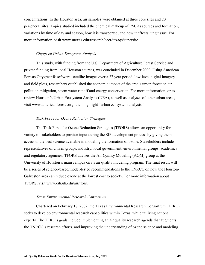concentrations. In the Houston area, air samples were obtained at three core sites and 20 peripheral sites. Topics studied included the chemical makeup of PM, its sources and formation, variations by time of day and season, how it is transported, and how it affects lung tissue. For more information, visit www.utexas.edu/research/ceer/texaqs/supersite.

#### *Citygreen Urban Ecosystem Analysis*

This study, with funding from the U.S. Department of Agriculture Forest Service and private funding from local Houston sources, was concluded in December 2000. Using American Forests Citygreen® software, satellite images over a 27 year period, low-level digital imagery and field plots, researchers established the economic impact of the area's urban forest on air pollution mitigation, storm water runoff and energy conservation. For more information, or to review Houston's Urban Ecosystem Analysis (UEA), as well as analyses of other urban areas, visit www.americanforests.org, then highlight "urban ecosystem analysis."

#### *Task Force for Ozone Reduction Strategies*

The Task Force for Ozone Reduction Strategies (TFORS) allows an opportunity for a variety of stakeholders to provide input during the SIP development process by giving them access to the best science available in modeling the formation of ozone. Stakeholders include representatives of citizen groups, industry, local government, environmental groups, academics and regulatory agencies. TFORS advises the Air Quality Modeling (AQM) group at the University of Houston's main campus on its air quality modeling program. The final result will be a series of science-based/model-tested recommendations to the TNRCC on how the Houston-Galveston area can reduce ozone at the lowest cost to society. For more information about TFORS, visit www.eih.uh.edu/air/tfors.

#### *Texas Environmental Research Consortium*

Chartered on February 18, 2002, the Texas Environmental Research Consortium (TERC) seeks to develop environmental research capabilities within Texas, while utilizing national experts. The TERC's goals include implementing an air quality research agenda that augments the TNRCC's research efforts, and improving the understanding of ozone science and modeling.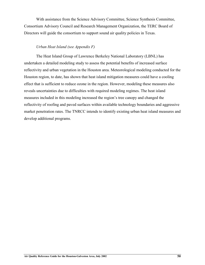With assistance from the Science Advisory Committee, Science Synthesis Committee, Consortium Advisory Council and Research Management Organization, the TERC Board of Directors will guide the consortium to support sound air quality policies in Texas.

### *Urban Heat Island (see Appendix F)*

The Heat Island Group of Lawrence Berkeley National Laboratory (LBNL) has undertaken a detailed modeling study to assess the potential benefits of increased surface reflectivity and urban vegetation in the Houston area. Meteorological modeling conducted for the Houston region, to date, has shown that heat island mitigation measures could have a cooling effect that is sufficient to reduce ozone in the region. However, modeling these measures also reveals uncertainties due to difficulties with required modeling regimes. The heat island measures included in this modeling increased the region's tree canopy and changed the reflectivity of roofing and paved surfaces within available technology boundaries and aggressive market penetration rates. The TNRCC intends to identify existing urban heat island measures and develop additional programs.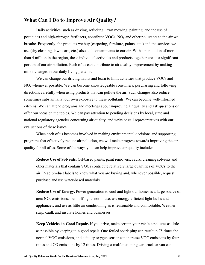# **What Can I Do to Improve Air Quality?**

Daily activities, such as driving, refueling, lawn mowing, painting, and the use of pesticides and high-nitrogen fertilizers, contribute  $VOCs$ ,  $NO<sub>x</sub>$  and other pollutants to the air we breathe. Frequently, the products we buy (carpeting, furniture, paints, etc.) and the services we use (dry cleaning, lawn care, etc.) also add contaminants to our air. With a population of more than 4 million in the region, these individual activities and products together create a significant portion of our air pollution. Each of us can contribute to air quality improvement by making minor changes in our daily living patterns.

We can change our driving habits and learn to limit activities that produce VOCs and  $NO<sub>x</sub>$  whenever possible. We can become knowledgeable consumers, purchasing and following directions carefully when using products that can pollute the air. Such changes also reduce, sometimes substantially, our own exposure to these pollutants. We can become well-informed citizens. We can attend programs and meetings about improving air quality and ask questions or offer our ideas on the topics. We can pay attention to pending decisions by local, state and national regulatory agencies concerning air quality, and write or call representatives with our evaluations of these issues.

When each of us becomes involved in making environmental decisions and supporting programs that effectively reduce air pollution, we will make progress towards improving the air quality for all of us. Some of the ways you can help improve air quality include:

**Reduce Use of Solvents.** Oil-based paints, paint removers, caulk, cleaning solvents and other materials that contain VOCs contribute relatively large quantities of VOCs to the air. Read product labels to know what you are buying and, whenever possible, request, purchase and use water-based materials.

**Reduce Use of Energy.** Power generation to cool and light our homes is a large source of area  $NO<sub>x</sub>$  emissions. Turn off lights not in use, use energy-efficient light bulbs and appliances, and use as little air conditioning as is reasonable and comfortable. Weather strip, caulk and insulate homes and businesses.

**Keep Vehicles in Good Repair.** If you drive, make certain your vehicle pollutes as little as possible by keeping it in good repair. One fouled spark plug can result in 75 times the normal VOC emissions, and a faulty oxygen sensor can increase VOC emissions by four times and CO emissions by 12 times. Driving a malfunctioning car, truck or van can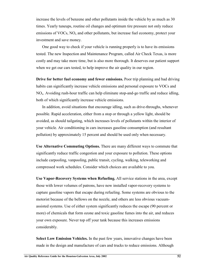increase the levels of benzene and other pollutants inside the vehicle by as much as 30 times. Yearly tuneups, routine oil changes and optimum tire pressure not only reduce emissions of VOCs,  $NO<sub>x</sub>$  and other pollutants, but increase fuel economy, protect your investment and save money.

One good way to check if your vehicle is running properly is to have its emissions tested. The new Inspection and Maintenance Program, called Air Check Texas, is more costly and may take more time, but is also more thorough. It deserves our patient support when we get our cars tested, to help improve the air quality in our region.

**Drive for better fuel economy and fewer emissions.** Poor trip planning and bad driving habits can significantly increase vehicle emissions and personal exposure to VOCs and  $NO<sub>x</sub>$ . Avoiding rush-hour traffic can help eliminate stop-and-go traffic and reduce idling, both of which significantly increase vehicle emissions.

In addition, avoid situations that encourage idling, such as drive-throughs, whenever possible. Rapid acceleration, either from a stop or through a yellow light, should be avoided, as should tailgating, which increases levels of pollutants within the interior of your vehicle. Air conditioning in cars increases gasoline consumption (and resultant pollution) by approximately 15 percent and should be used only when necessary.

**Use Alternative Commuting Options.** There are many different ways to commute that significantly reduce traffic congestion and your exposure to pollution. These options include carpooling, vanpooling, public transit, cycling, walking, teleworking and compressed work schedules. Consider which choices are available to you.

**Use Vapor-Recovery Systems when Refueling.** All service stations in the area, except those with lower volumes of patrons, have now installed vapor-recovery systems to capture gasoline vapors that escape during refueling. Some systems are obvious to the motorist because of the bellows on the nozzle, and others are less obvious vacuumassisted systems. Use of either system significantly reduces the escape (90 percent or more) of chemicals that form ozone and toxic gasoline fumes into the air, and reduces your own exposure. Never top off your tank because this increases emissions considerably.

**Select Low Emission Vehicles.** In the past few years, innovative changes have been made in the design and manufacture of cars and trucks to reduce emissions. Although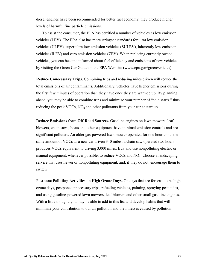diesel engines have been recommended for better fuel economy, they produce higher levels of harmful fine particle emissions.

To assist the consumer, the EPA has certified a number of vehicles as low emission vehicles (LEV). The EPA also has more stringent standards for ultra low emission vehicles (ULEV), super ultra low emission vehicles (SULEV), inherently low emission vehicles (ILEV) and zero emission vehicles (ZEV). When replacing currently owned vehicles, you can become informed about fuel efficiency and emissions of new vehicles by visiting the Green Car Guide on the EPA Web site (www.epa.gov/greenvehicles).

**Reduce Unnecessary Trips.** Combining trips and reducing miles driven will reduce the total emissions of air contaminants. Additionally, vehicles have higher emissions during the first few minutes of operation than they have once they are warmed up. By planning ahead, you may be able to combine trips and minimize your number of "cold starts," thus reducing the peak VOCs,  $NO<sub>x</sub>$  and other pollutants from your car at start up.

**Reduce Emissions from Off-Road Sources.** Gasoline engines on lawn mowers, leaf blowers, chain saws, boats and other equipment have minimal emission controls and are significant polluters. An older gas-powered lawn mower operated for one hour emits the same amount of VOCs as a new car driven 340 miles; a chain saw operated two hours produces VOCs equivalent to driving 3,000 miles. Buy and use nonpolluting electric or manual equipment, whenever possible, to reduce VOCs and  $NO<sub>x</sub>$ . Choose a landscaping service that uses newer or nonpolluting equipment, and, if they do not, encourage them to switch.

**Postpone Polluting Activities on High Ozone Days.** On days that are forecast to be high ozone days, postpone unnecessary trips, refueling vehicles, painting, spraying pesticides, and using gasoline-powered lawn mowers, leaf blowers and other small gasoline engines. With a little thought, you may be able to add to this list and develop habits that will minimize your contribution to our air pollution and the illnesses caused by pollution.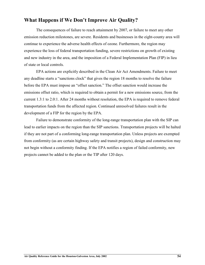# **What Happens if We Don't Improve Air Quality?**

The consequences of failure to reach attainment by 2007, or failure to meet any other emission reduction milestones, are severe. Residents and businesses in the eight-county area will continue to experience the adverse health effects of ozone. Furthermore, the region may experience the loss of federal transportation funding, severe restrictions on growth of existing and new industry in the area, and the imposition of a Federal Implementation Plan (FIP) in lieu of state or local controls.

EPA actions are explicitly described in the Clean Air Act Amendments. Failure to meet any deadline starts a "sanctions clock" that gives the region 18 months to resolve the failure before the EPA must impose an "offset sanction." The offset sanction would increase the emissions offset ratio, which is required to obtain a permit for a new emissions source, from the current 1.3:1 to 2.0:1. After 24 months without resolution, the EPA is required to remove federal transportation funds from the affected region. Continued unresolved failures result in the development of a FIP for the region by the EPA.

Failure to demonstrate conformity of the long-range transportation plan with the SIP can lead to earlier impacts on the region than the SIP sanctions. Transportation projects will be halted if they are not part of a conforming long-range transportation plan. Unless projects are exempted from conformity (as are certain highway safety and transit projects), design and construction may not begin without a conformity finding. If the EPA notifies a region of failed conformity, new projects cannot be added to the plan or the TIP after 120 days.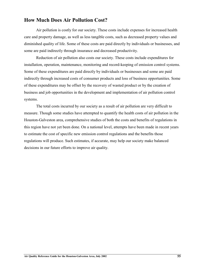# **How Much Does Air Pollution Cost?**

Air pollution is costly for our society. These costs include expenses for increased health care and property damage, as well as less tangible costs, such as decreased property values and diminished quality of life. Some of these costs are paid directly by individuals or businesses, and some are paid indirectly through insurance and decreased productivity.

Reduction of air pollution also costs our society. These costs include expenditures for installation, operation, maintenance, monitoring and record-keeping of emission control systems. Some of these expenditures are paid directly by individuals or businesses and some are paid indirectly through increased costs of consumer products and loss of business opportunities. Some of these expenditures may be offset by the recovery of wasted product or by the creation of business and job opportunities in the development and implementation of air pollution control systems.

The total costs incurred by our society as a result of air pollution are very difficult to measure. Though some studies have attempted to quantify the health costs of air pollution in the Houston-Galveston area, comprehensive studies of both the costs and benefits of regulations in this region have not yet been done. On a national level, attempts have been made in recent years to estimate the cost of specific new emission control regulations and the benefits those regulations will produce. Such estimates, if accurate, may help our society make balanced decisions in our future efforts to improve air quality.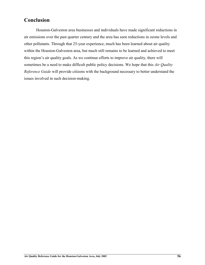# **Conclusion**

Houston-Galveston area businesses and individuals have made significant reductions in air emissions over the past quarter century and the area has seen reductions in ozone levels and other pollutants. Through that 25-year experience, much has been learned about air quality within the Houston-Galveston area, but much still remains to be learned and achieved to meet this region's air quality goals. As we continue efforts to improve air quality, there will sometimes be a need to make difficult public policy decisions. We hope that this *Air Quality Reference Guide* will provide citizens with the background necessary to better understand the issues involved in such decision-making.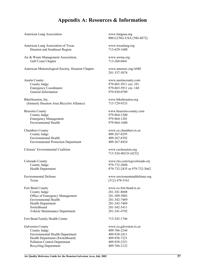# **Appendix A: Resources & Information**

American Lung Association www.lungusa.org

American Lung Association of Texas www.texaslung.org Houston and Southeast Region 713-629-1600

Air & Waste Management Association, www.awma.org Gulf Coast Chapter 713-260-0441

American Meteorological Society, Houston Chapter www.ametsoc.org/AMS

Austin County www.austincounty.com County Judge 979-865-5911 ext. 101 Emergency Coordinator 979-865-5911 ext. 148 General Information 979-830-0789

BikeHouston, Inc. www.bikehouston.org (formerly Houston Area Bicyclist Alliance) 713-729-9333

Brazoria County www.brazoria-county.com County Judge 979-864-1200 Emergency Management 979-864-1201 Environmental Health 979-864-1600

Chambers County www.co.chambers.tx.us County Judge 409-267-8295 Environmental Health 409-267-8392 Environmental Protection Department 409-267-8424

Citizens' Environmental Coalition www.cechouston.org

County Judge 979-732-2604

Texas (512) 478-5161

Fort Bend County www.co.fort-bend.tx.us County Judge 281-341-8608 Office of Emergency Management 281-309-5002 Environmental Health 281-342-7469 Health Department 281-342-7469 Switchboard 281-342-3411 Vehicle Maintenance Department 281-341-4792

Fort Bend Family Health Center 713-342-1746

Galveston County **WWW.CO.galveston.tx.us** County Judge 409-766-2244 Environmental Health Department<br>
Health Department (Switchboard) 409-938-7221 Health Department (Switchboard) Pollution Control Department 409-938-2251 Recycling Department 409-766-2122

800-LUNG-USA (586-4872)

281-337-5074

713-524-4ECO (4232)

Colorado County www.rtis.com/reg/colorado-cty Health Department 979-732-2435 or 979-732-3662

Environmental Defense www.environemtnaldefense.org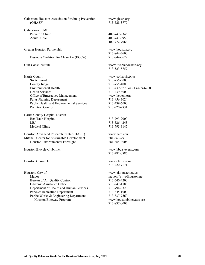Galveston-Houston Association for Smog Prevention www.ghasp.org (GHASP) 713-528-3779 Galveston-UTMB Pediatric Clinic 409-747-9345 Adult Clinic 409-747-8950 409-772-7063 Greater Houston Partnership www.houston.org 713-844-3600 Business Coalition for Clean Air (BCCA) 713-844-3629 Gulf Coast Institute www.livablehouston.org 713-523-5757 Harris County www.co.harris.tx.us Switchboard 713-755-5000 County Judge 713-755-4000 Environmental Health 713-439-6270 or 713-439-6260 Health Services 713-439-6000 Office of Emergency Management www.hcoem.org Parks Planning Department 713-956-3024 Public Health and Environmental Services 713-439-6000 Pollution Control 713-920-2831 Harris County Hospital District Ben Taub Hospital 713-793-2000 LBJ 713-526-4243 Medical Clinic 713-793-3145 Houston Advanced Research Center (HARC) www.harc.edu Mitchell Center for Sustainable Development 281-363-7913 Houston Environmental Foresight 281-364-4008 Houston Bicycle Club, Inc. www.hbc.stevens.com 713-782-0885 Houston Chronicle www.chron.com 713-220-7171 Houston, City of www.ci.houston.tx.us Mayor mayor mayor mayor mayor discussion and mayor mayor discussion and mayor discussion and mayor discussion and mayor discussion and mayor discussion and mayor discussion and may or  $\theta$  mayor discussion and may or  $\theta$  Bureau of Air Quality Control 713-640-4200 Citizens' Assistance Office 713-247-1888 Department of Health and Human Services 713-794-9320 Parks & Recreation Department 713-845-1000 Public Works & Engineering Department 713-837-7560 Houston Bikeway Program www.houstonbikeways.org 713-837-0003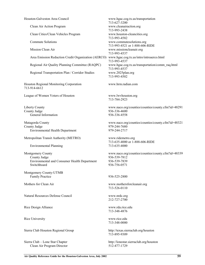| Houston-Galveston Area Council                                                                          | www.hgac.cog.tx.us/transportation<br>713-627-3200                                                  |
|---------------------------------------------------------------------------------------------------------|----------------------------------------------------------------------------------------------------|
| Clean Air Action Program                                                                                | www.cleanairaction.org<br>713-993-2438                                                             |
| Clean Cities/Clean Vehicles Program                                                                     | www.houston-cleancities.org<br>713-993-4582                                                        |
| <b>Commute Solutions</b>                                                                                | www.commutesolutions.org<br>713-993-4521 or 1-888-606-RIDE                                         |
| Mission Clean Air                                                                                       | www.missioncleanair.org<br>713-993-4537                                                            |
| Area Emission Reduction Credit Organization (AERCO)                                                     | www.hgac.cog.tx.us/intro/introaerco.html<br>713-993-4537                                           |
| Regional Air Quality Planning Committee (RAQPC)                                                         | www.hgac.cog.tx.us/transportation/comm_raq.html<br>713-993-4537                                    |
| Regional Transportation Plan / Corridor Studies                                                         | www.2025plan.org<br>713-993-4502                                                                   |
| Houston Regional Monitoring Corporation<br>713-914-6612                                                 | www.hrm.radian.com                                                                                 |
| League of Women Voters of Houston                                                                       | www.lwvhouston.org<br>713-784-2923                                                                 |
| <b>Liberty County</b><br>County Judge<br>General Information                                            | www.naco.org/counties/counties/county.cfm?id=48291<br>936-336-4600<br>936-336-4558                 |
| Matagorda County<br>County Judge<br><b>Environmental Health Department</b>                              | www.naco.org/counties/counties/county.cfm?id=48321<br>979-244-7680<br>979-244-2717                 |
| Metropolitan Transit Authority (METRO)                                                                  | www.ridemetro.org<br>713-635-4000 or 1-888-606-RIDE                                                |
| <b>Environmental Planning</b>                                                                           | 713-635-4000                                                                                       |
| Montgomery County<br>County Judge<br><b>Environmental and Consumer Health Department</b><br>Switchboard | www.naco.org/counties/counties/county.cfm?id=48339<br>936-539-7812<br>936-539-7839<br>936-756-0571 |
| Montgomery County-UTMB<br><b>Family Practice</b>                                                        | 936-525-2800                                                                                       |
| Mothers for Clean Air                                                                                   | www.mothersforcleanair.org<br>713-526-0110                                                         |
| Natural Resources Defense Council                                                                       | www.nrdc.org<br>212-727-2700                                                                       |
| Rice Design Alliance                                                                                    | www.rda.rice.edu<br>713-348-4876                                                                   |
| Rice University                                                                                         | www.rice.edu<br>713-348-0000                                                                       |
| Sierra Club Houston Regional Group                                                                      | http://texas.sierraclub.org/houston<br>713-895-9309                                                |
| Sierra Club - Lone Star Chapter<br>Clean Air Program Director                                           | http://lonestar.sierraclub.org/houston<br>512-477-1729                                             |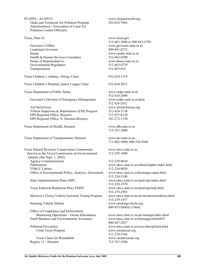STAPPA / ALAPCO www.cleanairworld.org (State and Territorial Air Pollution Program 202-624-7864 Administrators / Association of Local Air Pollution Control Officials)

Governor's Office www.governor.state.tx.us Lieutenant Governor 800-441-0373 Senate www.senate.state.tx.us Health & Human Services Committee 512-463-0390 House of Representatives www.house.state.tx.us Environmental Regulation 512-463-0770 Transportation 512-463-018

Texas Children's Asthma, Allergy Clinic 832-824-1319

Texas Children's Hospital, Junior League Clinic 832-824-3013

Texas Department of Public Safety www.txdps.state.tx.us

Governor's Division of Emergency Management www.txdps.state.tx.us/dem

AirCheckTexas www.airchecktexas.org Vehicle Inspection & Maintenance (I/M) Program 512-424-2138 DPS Regional Office, Houston 713-957-6120 DPS Regional Office, N. Houston-Rosslyn 281-272-1150

Texas Department of Health, Houston www.tdh.state.tx.us

Texas Department of Transportation, Houston www.dot.state.tx.us

Texas Natural Resource Conservation Commission www.tnrcc.state.tx.us *(*known as the Texas Commission on Environmental 512-239-1000 Quality after Sept. 1, 2002) Agency Communications 512-239-0010 Publications www.tnrcc.state.tx.us/admin/topdoc/index.html TNRCC Library 512-239-0020 Office of Environmental Policy, Analysis, Assessment www.tnrcc.state.tx.us/homepgs/oepaa.html

Motorist's Choice Vehicle Emission Testing Program www.tnrcc.state.tx.us/air/ms/motoristchoice.html

Office of Compliance and Enforcement Monitoring Operations – Ozone Information www.tnrcc.state.tx.us/air/monops/index.html Small Business and Environmental Assistance www.tnrcc.state.tx.us/homepgs/ed.html#3

Clean Texas Program www.cleantexas.org

Texas Clean Air Roundtable www.cleantexasair.org Region 12 – Houston 713-767-3500

Texas, State of www.texas.gov 512-463-2000 or 800-843-5789

512-424-2000 512 424-2432

713-767-3000

713-802-5000; 800-558-9368

512-239-5109 State Implementation Plans (SIP) www.tnrcc.state.tx.us/oprd/sips/index.html 512-239-1970 Texas Emission Reduction Plan (TERP) www.tnrcc.state.tx.us/oprd/sips/terp.html 512-239-2583 512-239-1457 Smoking Vehicle Hotline www.smokingvehicle.org 800-453-SMOG (7664)

800-447-2827 Pollution Prevention www.tnrcc.state.tx.us/exec/sbea/p2tech.html 512-239-3766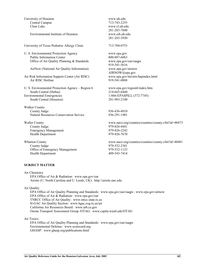| University of Houston<br>Central Campus<br>Clear Lake<br>Environmental Institute of Houston                             | www.uh.edu<br>713-743-2255<br>www.cl.uh.edu<br>281-283-7600<br>www.eih.uh.edu<br>281-283-3950      |
|-------------------------------------------------------------------------------------------------------------------------|----------------------------------------------------------------------------------------------------|
| University of Texas Pediatric Allergy Clinic                                                                            | 713-704-0753                                                                                       |
| U. S. Environmental Protection Agency<br><b>Public Information Center</b><br>Office of Air Quality Planning & Standards | www.epa.gov<br>800-887-6063<br>www.epa.gov/oar/oaqps<br>919-541-5616                               |
| AirNow (National Air Quality Information)<br>Air Risk Information Support Center (Air RISC)                             | www.epa.gov/airnow<br>AIRNOW@epa.gov<br>www.epa.gov/ttn/atw/hapindex.html                          |
| Air RISC Hotline                                                                                                        | 919-541-0888                                                                                       |
| U. S. Environmental Protection Agency - Region 6<br>South Central (Dallas)<br><b>Environmental Emergencies</b>          | www.epa.gov/region6/index.htm<br>214-665-6444<br>1-866-EPASPILL (372-7745)                         |
| South Central (Houston)                                                                                                 | 281-983-2100                                                                                       |
| Walker County<br>County Judge<br><b>Natural Resources Conservation Service</b>                                          | 936-436-4910<br>936-291-1901                                                                       |
| <b>Waller County</b><br>County Judge<br><b>Emergency Management</b><br>Health Department                                | www.naco.org/counties/counties/county.cfm?id=48473<br>979-826-4441<br>979-826-2242<br>979-826-7670 |
| <b>Wharton County</b><br>County Judge<br>Office of Emergency Management<br>Health Department                            | www.naco.org/counties/counties/county.cfm?id=48481<br>979-532-2381<br>979-532-1123<br>409-543-7414 |

#### **SUBJECT MATTER**

Air Chemistry EPA Office of Air & Radiation: www.epa.gov/oar Airsite (U. North Carolina and U. Leeds, UK): http://airsite.unc.edu

Air Quality

EPA Office of Air Quality Planning and Standards: www.epa.gov/oar/oaqps ; www.epa.gov/airnow EPA Office of Air & Radiation: www.epa.gov/oar TNRCC Office of Air Quality: www.tnrcc.state.tx.us H-GAC Air Quality Section: www.hgac.cog.tx.us/air California Air Resources Board: www.arb.ca.gov Ozone Transport Assessment Group /OTAG: www.capita.wustl.edu/OTAG

Air Toxics

EPA Office of Air Quality Planning and Standards: www.epa.gov/oar/oaqps Environmental Defense: www.scorecard.org GHASP: www.ghasp.org/publications.html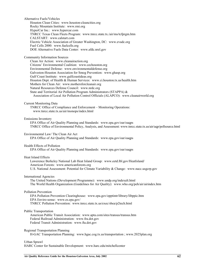Alternative Fuels/Vehicles Houston Clean Cities: www.houston-cleancities.org Rocky Mountain Institute: www.rmi.org HyperCar Inc.: www.hypercar.com TNRCC Texas Clean Fleets Program: www.tnrcc.state.tx./air/ms/tcfprgm.htm CALSTART: www.calstart.com Electric Vehicle Association of Greater Washington, DC: www.evadc.org Fuel Cells 2000: www.fuelcells.org DOE Alternative Fuels Data Center: www.afdc.nrel.gov Community Information Sources Clean Air Action: www.cleanairaction.org Citizens' Environmental Coalition: www.cechouston.org Environmental Defense: www.environmentaldefense.org Galveston-Houston Association for Smog Prevention: www.ghasp.org Gulf Coast Institute: www.gulfcoastideas.org Houston Dept. of Health & Human Services: www.ci.houston.tx.us/health.htm Mothers for Clean Air: www.mothersforcleanair.org Natural Resources Defense Council: www.nrdc.org State and Territorial Air Pollution Program Administrators (STAPPA) & Association of Local Air Pollution Control Officials (ALAPCO): www.cleanairworld.org Current Monitoring Data TNRCC Office of Compliance and Enforcement – Monitoring Operations: www.tnrcc.state.tx.us/air/monops/index.html Emissions Inventory EPA Office of Air Quality Planning and Standards: www.epa.gov/oar/oaqps TNRCC Office of Environmental Policy, Analysis, and Assessment: www.tnrcc.state.tx.us/air/aqp/pollsource.html Environmental Law/ The Clean Air Act EPA Office of Air Quality Planning and Standards: www.epa.gov/oar/oaqps Health Effects of Pollution EPA Office of Air Quality Planning and Standards: www.epa.gov/oar/oaqps Heat Island Effects Lawerence Berkeley National Lab Heat Island Group: www.eetd.lbl.gov/HeatIsland/ American Forests: www.americanforests.org U.S. National Assessment: Potential for Climate Variability & Change: www.nacc.usgcrp.gov International Agencies The United Nations (Development Programme): www.undp.org/indexalt.html The World Health Organization (Guidelines for Air Quality): www.who.org/peh/air/airindex.htm Pollution Prevention EPA Pollution Prevention Clearinghouse: www.epa.gov/opptintr/library/libppic.htm EPA Enviro-sense: www.es.epa.gov/ TNRCC Pollution Prevention: www.tnrcc.state.tx.us/exec/sbea/p2tech.html Public Transportation American Public Transit Association: www.apta.com/sites/transus/transus.htm Federal Railroad Administration: www.fra.dot.gov Federal Transit Administration: www.fta.dot.gov Regional Transportation Planning H-GAC Transportation Planning: www.hgac.cog.tx.us/transportation ; www.2025plan.org Urban Sprawl

HARC Center for Sustainable Development: www.harc.edu/mitchellcenter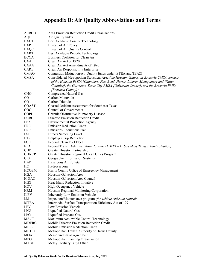# **Appendix B: Air Quality Abbreviations and Terms**

| AERCO           | Area Emission Reduction Credit Organizations                                                                                                                                                                                                                                             |
|-----------------|------------------------------------------------------------------------------------------------------------------------------------------------------------------------------------------------------------------------------------------------------------------------------------------|
| <b>AQI</b>      | Air Quality Index                                                                                                                                                                                                                                                                        |
| <b>BACT</b>     | Best Available Control Technology                                                                                                                                                                                                                                                        |
| <b>BAP</b>      | Bureau of Air Policy                                                                                                                                                                                                                                                                     |
| <b>BAQC</b>     | Bureau of Air Quality Control                                                                                                                                                                                                                                                            |
| <b>BART</b>     | Best Available Retrofit Technology                                                                                                                                                                                                                                                       |
| <b>BCCA</b>     | Business Coalition for Clean Air                                                                                                                                                                                                                                                         |
| <b>CAA</b>      | Clean Air Act of 1970                                                                                                                                                                                                                                                                    |
| <b>CAAA</b>     | Clean Air Act Amendments of 1990                                                                                                                                                                                                                                                         |
| <b>CARE</b>     | Clean Air Responsibility Enterprise                                                                                                                                                                                                                                                      |
| <b>CMAQ</b>     | Congestion Mitigation/Air Quality funds under ISTEA and TEA21                                                                                                                                                                                                                            |
| <b>CMSA</b>     | Consolidated Metropolitan Statistical Area (the Houston-Galveston-Brazoria CMSA consists<br>of the Houston PMSA [Chambers, Fort Bend, Harris, Liberty, Montgomery and Waller<br>Counties], the Galveston-Texas City PMSA [Galveston County], and the Brazoria PMSA<br>[Brazoria County]) |
| <b>CNG</b>      | <b>Compressed Natural Gas</b>                                                                                                                                                                                                                                                            |
| CO              | Carbon Monoxide                                                                                                                                                                                                                                                                          |
| CO <sub>2</sub> | Carbon Dioxide                                                                                                                                                                                                                                                                           |
| <b>COAST</b>    | <b>Coastal Oxidant Assessment for Southeast Texas</b>                                                                                                                                                                                                                                    |
| COG             | Council of Governments                                                                                                                                                                                                                                                                   |
| <b>COPD</b>     | Chronic Obstructive Pulmonary Disease                                                                                                                                                                                                                                                    |
| <b>DERC</b>     | Discrete Emission Reduction Credit                                                                                                                                                                                                                                                       |
| <b>EPA</b>      | <b>Environmental Protection Agency</b>                                                                                                                                                                                                                                                   |
| ERC             | <b>Emission Reduction Credit</b>                                                                                                                                                                                                                                                         |
| ERP             | <b>Emissions Reductions Plan</b>                                                                                                                                                                                                                                                         |
| <b>ESL</b>      | <b>Effects Screening Level</b>                                                                                                                                                                                                                                                           |
| <b>ETR</b>      | <b>Employer Trip Reduction</b>                                                                                                                                                                                                                                                           |
| FCFF            | Federal Clean Fuel Fleet                                                                                                                                                                                                                                                                 |
| <b>FTA</b>      | Federal Transit Administration (formerly UMTA - Urban Mass Transit Administration)                                                                                                                                                                                                       |
| <b>GHP</b>      | Greater Houston Partnership                                                                                                                                                                                                                                                              |
| <b>GHRCP</b>    | Greater Houston Regional Clean Cities Program                                                                                                                                                                                                                                            |
| <b>GIS</b>      | Geographic Information Systems                                                                                                                                                                                                                                                           |
| <b>HAP</b>      | Hazardous Air Pollutant                                                                                                                                                                                                                                                                  |
| HC              | Hydrocarbons                                                                                                                                                                                                                                                                             |
| <b>HCOEM</b>    | Harris County Office of Emergency Management                                                                                                                                                                                                                                             |
| <b>HGA</b>      | Houston-Galveston Area                                                                                                                                                                                                                                                                   |
| H-GAC           | Houston-Galveston Area Council                                                                                                                                                                                                                                                           |
| <b>HIRI</b>     | Heat Island Reduction Initiative                                                                                                                                                                                                                                                         |
| <b>HOV</b>      | High-Occupancy Vehicle                                                                                                                                                                                                                                                                   |
| <b>HRM</b>      | Houston Regional Monitoring Corporation                                                                                                                                                                                                                                                  |
| <b>ILEV</b>     | <b>Inherently Low Emission Vehicle</b>                                                                                                                                                                                                                                                   |
| I/M             | Inspection/Maintenance program (for vehicle emission controls)                                                                                                                                                                                                                           |
| <b>ISTEA</b>    | Intermodal Surface Transportation Efficiency Act of 1991                                                                                                                                                                                                                                 |
| <b>LEV</b>      | Low Emission Vehicle                                                                                                                                                                                                                                                                     |
| <b>LNG</b>      | Liquefied Natural Gas                                                                                                                                                                                                                                                                    |
| <b>LPG</b>      | Liquefied Propane Gas                                                                                                                                                                                                                                                                    |
| <b>MACT</b>     | Maximum Achievable Control Technology                                                                                                                                                                                                                                                    |
| <b>MDERC</b>    | Mobile Discrete Emission Reduction Credit                                                                                                                                                                                                                                                |
| <b>MERC</b>     | Mobile Emission Reduction Credit                                                                                                                                                                                                                                                         |
| <b>METRO</b>    | Metropolitan Transit Authority of Harris County                                                                                                                                                                                                                                          |
| <b>MOA</b>      | Memorandum of Agreement                                                                                                                                                                                                                                                                  |
| <b>MPO</b>      | Metropolitan Planning Organization                                                                                                                                                                                                                                                       |
| <b>MTBE</b>     | Methyl Tertiary Butyl Ether                                                                                                                                                                                                                                                              |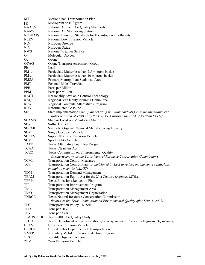| <b>MTP</b>        | Metropolitan Transportation Plan                                                      |
|-------------------|---------------------------------------------------------------------------------------|
| $\mu$ g           | Microgram or $10^{-6}$ gram                                                           |
| <b>NAAQS</b>      | National Ambient Air Quality Standards                                                |
| <b>NAMS</b>       | National Air Monitoring Station                                                       |
| <b>NESHAPs</b>    | National Emission Standards for Hazardous Air Pollutants                              |
| <b>NLEV</b>       | National Low Emission Vehicle                                                         |
| NO <sub>2</sub>   | Nitrogen Dioxide                                                                      |
| NO <sub>x</sub>   | Nitrogen Oxide                                                                        |
| <b>NWS</b>        | National Weather Service                                                              |
|                   |                                                                                       |
| O <sub>2</sub>    | Molecular Oxygen                                                                      |
| $O_3$             | Ozone                                                                                 |
| <b>OTAG</b>       | Ozone Transport Assessment Group                                                      |
| Pb                | Lead                                                                                  |
| $PM_{2.5}$        | Particulate Matter less than 2.5 microns in size                                      |
| $PM_{10}$         | Particulate Matter less than 10 microns in size                                       |
| <b>PMSA</b>       | Primary Metropolitan Statistical Area                                                 |
| <b>PMT</b>        | Personal Miles Traveled                                                               |
| <b>PPB</b>        | Parts per Billion                                                                     |
| <b>PPM</b>        | Parts per Million                                                                     |
| <b>RACT</b>       | Reasonably Available Control Technology                                               |
| <b>RAQPC</b>      | Regional Air Quality Planning Committee                                               |
| <b>RCAP</b>       | Regional Commute Alternatives Program                                                 |
| <b>RFG</b>        | <b>Reformulated Gasoline</b>                                                          |
| <b>SIP</b>        | State Implementation Plan (plan detailing pollution controls for achieving attainment |
|                   | status required of TNRCC by the U.S. EPA through the CAA of 1970 and 1977)            |
| <b>SLAMS</b>      | State or Local Air Monitoring Station                                                 |
| SO <sub>2</sub>   | <b>Sulfur Dioxide</b>                                                                 |
| <b>SOCMI</b>      | Synthetic Organic Chemical Manufacturing Industry                                     |
| SOV               | Single Occupant Vehicle                                                               |
| <b>SULEV</b>      | Super Ultra Low Emission Vehicle                                                      |
| <b>SUV</b>        | Sport Utility Vehicle                                                                 |
| <b>TAFF</b>       | Texas Alternative Fuel Fleet Program                                                  |
| <b>TCAA</b>       | Texas Clean Air Act                                                                   |
| <b>TCEQ</b>       | Texas Commission on Environmental Quality                                             |
|                   | (formerly known as the Texas Natural Resource Conservation Commission)                |
| <b>TCMs</b>       | <b>Transportation Control Measures</b>                                                |
|                   |                                                                                       |
| <b>TCP</b>        | Transportation Control Plan (as envisioned by EPA to reduce mobile source emissions   |
|                   | enough to meet the NAAQS)                                                             |
| <b>TDM</b>        | <b>Transportation Demand Management</b>                                               |
| TEA21             | Transportation Equity Act for the 21st Century (replaces ISTEA)                       |
| <b>TERP</b>       | <b>Texas Emissions Reduction Plan</b>                                                 |
| TIP               | <b>Transportation Improvement Program</b>                                             |
| TMA               | <b>Transportation Management Area</b>                                                 |
| <b>TMO</b>        | <b>Transportation Management Organization</b>                                         |
| <b>TNRCC</b>      | <b>Texas Natural Resource Conservation Commission</b>                                 |
|                   | (known as the Texas Commission on Environmental Quality after Sept. 1, 2002)          |
| <b>TPC</b>        | <b>Transportation Policy Council</b>                                                  |
| <b>TPD</b>        | Tons per Day                                                                          |
| <b>TPY</b>        | Tons per Year                                                                         |
| <b>TxAQS 2000</b> | Texas 2000 Air Quality Study                                                          |
| <b>TxDOT</b>      | Texas Department of Transportation (formerly known as the Texas Highway Department)   |
| <b>ULEV</b>       | Ultra Low Emission Vehicle                                                            |
| <b>USDOT</b>      | United States Department of Transportation                                            |
| <b>VMEP</b>       | Voluntary Mobile Emission reduction Program                                           |
| <b>VOC</b>        | Volatile Organic Compound                                                             |
| <b>ZEV</b>        | Zero Emission Vehicle                                                                 |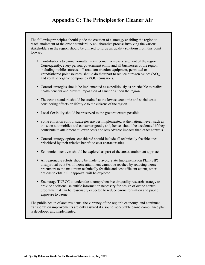# **Appendix C: The Principles for Cleaner Air**

The following principles should guide the creation of a strategy enabling the region to reach attainment of the ozone standard. A collaborative process involving the various stakeholders in the region should be utilized to forge air quality solutions from this point forward.

- Contributions to ozone non-attainment come from every segment of the region. Consequently, every person, government entity and all businesses of the region, including mobile sources, off-road construction equipment, permitted or grandfathered point sources, should do their part to reduce nitrogen oxides  $(NO_x)$ and volatile organic compound (VOC) emissions.
- Control strategies should be implemented as expeditiously as practicable to realize health benefits and prevent imposition of sanctions upon the region.
- The ozone standard should be attained at the lowest economic and social costs considering effects on lifestyle to the citizens of the region.
- Local flexibility should be preserved to the greatest extent possible.
- Some emission control strategies are best implemented at the national level, such as those on automobiles and consumer goods, and, hence, should be accelerated if they contribute to attainment at lower costs and less adverse impacts than other controls.
- Control strategy options considered should include all technically feasible ones prioritized by their relative benefit to cost characteristics.
- Economic incentives should be explored as part of the area's attainment approach.
- All reasonable efforts should be made to avoid State Implementation Plan (SIP) disapproval by EPA. If ozone attainment cannot be reached by reducing ozone precursors to the maximum technically feasible and cost-efficient extent, other options to obtain SIP approval will be explored.
- Encourage TNRCC to undertake a comprehensive air quality research strategy to provide additional scientific information necessary for design of ozone control programs that can be reasonably expected to reduce ozone formation and public exposure to ozone.

The public health of area residents, the vibrancy of the region's economy, and continued transportation improvements are only assured if a sound, acceptable ozone compliance plan is developed and implemented.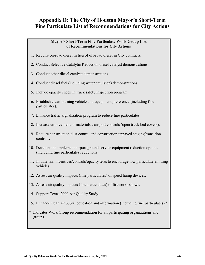# **Appendix D: The City of Houston Mayor's Short-Term Fine Particulate List of Recommendations for City Actions**

#### **Mayor's Short-Term Fine Particulate Work Group List of Recommendations for City Actions**

- 1. Require on-road diesel in lieu of off-road diesel in City contracts.
- 2. Conduct Selective Catalytic Reduction diesel catalyst demonstrations.
- 3. Conduct other diesel catalyst demonstrations.
- 4. Conduct diesel fuel (including water emulsion) demonstrations.
- 5. Include opacity check in truck safety inspection program.
- 6. Establish clean-burning vehicle and equipment preference (including fine particulates).
- 7. Enhance traffic signalization program to reduce fine particulates.
- 8. Increase enforcement of materials transport controls (open truck bed covers).
- 9. Require construction dust control and construction unpaved staging/transition controls.
- 10. Develop and implement airport ground service equipment reduction options (including fine particulates reductions).
- 11. Initiate taxi incentives/controls/opacity tests to encourage low particulate emitting vehicles.
- 12. Assess air quality impacts (fine particulates) of speed hump devices.
- 13. Assess air quality impacts (fine particulates) of fireworks shows.
- 14. Support Texas 2000 Air Quality Study.
- 15. Enhance clean air public education and information (including fine particulates).\*
- \* Indicates Work Group recommendation for all participating organizations and groups.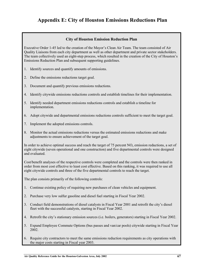# **Appendix E: City of Houston Emissions Reductions Plan**

#### **City of Houston Emission Reduction Plan**

Executive Order 1-45 led to the creation of the Mayor's Clean Air Team. The team consisted of Air Quality Liaisons from each city department as well as other department and private sector stakeholders. The team collectively used an eight-step process, which resulted in the creation of the City of Houston's Emissions Reduction Plan and subsequent supporting guidelines.

- 1. Identify sources and quantify amounts of emissions.
- 2. Define the emissions reductions target goal.
- 3. Document and quantify previous emissions reductions.
- 4. Identify citywide emissions reductions controls and establish timelines for their implementation.
- 5. Identify needed department emissions reductions controls and establish a timeline for implementation.
- 6. Adopt citywide and departmental emissions reductions controls sufficient to meet the target goal.
- 7. Implement the adopted emissions controls.
- 8. Monitor the actual emissions reductions versus the estimated emissions reductions and make adjustments to ensure achievement of the target goal.

In order to achieve optimal success and reach the target of 75 percent  $NO<sub>x</sub>$  emission reductions, a set of eight citywide (seven operational and one construction) and five departmental controls were designed and evaluated.

Cost/benefit analyses of the respective controls were completed and the controls were then ranked in order from most cost effective to least cost effective. Based on this ranking, it was required to use all eight citywide controls and three of the five departmental controls to reach the target.

The plan consists primarily of the following controls:

- 1. Continue existing policy of requiring new purchases of clean vehicles and equipment.
- 2. Purchase very low sulfur gasoline and diesel fuel starting in Fiscal Year 2002.
- 3. Conduct field demonstrations of diesel catalysts in Fiscal Year 2001 and retrofit the city's diesel fleet with the successful catalysts, starting in Fiscal Year 2002.
- 4. Retrofit the city's stationary emission sources (i.e. boilers, generators) starting in Fiscal Year 2002.
- 5. Expand Employee Commute Options (bus passes and van/car pools) citywide starting in Fiscal Year 2002.
- 6. Require city contractors to meet the same emissions reduction requirements as city operations with the major costs starting in Fiscal year 2003.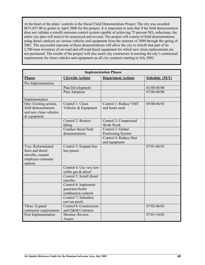At the heart of the plans' controls is the Diesel Field Demonstration Project. The city was awarded \$671,057.00 in grants in April 2000 for this project. It is important to note that if the field demonstration does not validate a retrofit emission control system capable of achieving 75 percent  $NO<sub>x</sub>$  reductions, the entire city plan will need to be reassessed and revised. The project will consist of field demonstrations using diesel catalysts on various vehicles and equipment from the summer of 2000 through the spring of 2001. The successful outcome of these demonstrations will allow the city to retrofit that part of its 2,700-item inventory of on-road and off-road diesel equipment for which new clean replacements are not purchased. The results of the project will also assist city contractors in meeting the city's contractual requirements for clean vehicles and equipment on all city contracts starting in July 2002.

| <b>Implementation Phases</b>                                                              |                                                                 |                                         |                 |  |
|-------------------------------------------------------------------------------------------|-----------------------------------------------------------------|-----------------------------------------|-----------------|--|
| <b>Phases</b>                                                                             | <b>Citywide Actions</b>                                         | <b>Department Actions</b>               | Schedule (M/Y)  |  |
| Pre-Implementation                                                                        |                                                                 |                                         |                 |  |
|                                                                                           | Plan Development                                                |                                         | 01/00-06/00     |  |
|                                                                                           | Plan Adoption                                                   |                                         | 07/00-08/00     |  |
| Implementation                                                                            |                                                                 |                                         |                 |  |
| One: Existing actions,<br>field demonstrations<br>and new clean vehicles<br>$&$ equipment | Control 1: Clean<br>Vehicles & Equipment                        | Control 1: Reduce VMT<br>and hours used | 05/00-06/03     |  |
|                                                                                           | Control 2: Restrict<br>Idling                                   | Control 2: Compressed<br>Work Week      |                 |  |
|                                                                                           | Conduct diesel field                                            | Control 3: Global                       |                 |  |
|                                                                                           | demonstrations                                                  | Positioning System                      |                 |  |
|                                                                                           |                                                                 | Control 4: Reduce fleet                 |                 |  |
|                                                                                           |                                                                 | and equipment                           |                 |  |
| Two: Reformulated<br>fuels and diesel<br>retrofits; expand<br>employee commute<br>options | Control 3: Expand free<br>bus passes                            |                                         | $07/01 - 06/03$ |  |
|                                                                                           | Control 4: Use very low<br>sulfur gas & diesel                  |                                         |                 |  |
|                                                                                           | Control 5: Install diesel<br>retrofits                          |                                         |                 |  |
|                                                                                           | Control 6: Implement<br>generator/boiler<br>combustion controls |                                         |                 |  |
|                                                                                           | Control 7: Subsidize<br>car/van pools                           |                                         |                 |  |
| Three: Expand<br>contractor requirements                                                  | Control 8: Construction<br>and O&M Contracts                    |                                         | $07/02 - 06/03$ |  |
| Post Implementation                                                                       | Monitor, Review,<br>Assess                                      |                                         | $07/03 - 10/03$ |  |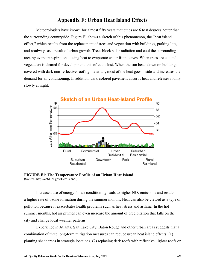## **Appendix F: Urban Heat Island Effects**

Meteorologists have known for almost fifty years that cities are 6 to 8 degrees hotter than the surrounding countryside. Figure F1 shows a sketch of this phenomenon, the "heat island effect," which results from the replacement of trees and vegetation with buildings, parking lots, and roadways as a result of urban growth. Trees block solar radiation and cool the surrounding area by evapotranspiration – using heat to evaporate water from leaves. When trees are cut and vegetation is cleared for development, this effect is lost. When the sun beats down on buildings covered with dark non-reflective roofing materials, most of the heat goes inside and increases the demand for air conditioning. In addition, dark-colored pavement absorbs heat and releases it only slowly at night.



**FIGURE F1: The Temperature Profile of an Urban Heat Island** (Source: http://eetd.lbl.gov/HeatIsland/)

Increased use of energy for air conditioning leads to higher  $NO<sub>x</sub>$  emissions and results in a higher rate of ozone formation during the summer months. Heat can also be viewed as a type of pollution because it exacerbates health problems such as heat stress and asthma. In the hot summer months, hot air plumes can even increase the amount of precipitation that falls on the city and change local weather patterns.

Experience in Atlanta, Salt Lake City, Baton Rouge and other urban areas suggests that a combination of three long-term mitigation measures can reduce urban heat island effects: (1) planting shade trees in strategic locations, (2) replacing dark roofs with reflective, lighter roofs or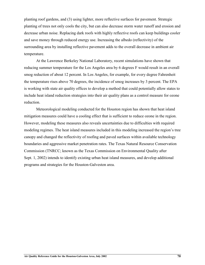planting roof gardens, and (3) using lighter, more reflective surfaces for pavement. Strategic planting of trees not only cools the city, but can also decrease storm water runoff and erosion and decrease urban noise. Replacing dark roofs with highly reflective roofs can keep buildings cooler and save money through reduced energy use. Increasing the albedo (reflectivity) of the surrounding area by installing reflective pavement adds to the overall decrease in ambient air temperature.

At the Lawrence Berkeley National Laboratory, recent simulations have shown that reducing summer temperature for the Los Angeles area by 6 degrees F would result in an overall smog reduction of about 12 percent. In Los Angeles, for example, for every degree Fahrenheit the temperature rises above 70 degrees, the incidence of smog increases by 3 percent. The EPA is working with state air quality offices to develop a method that could potentially allow states to include heat island reduction strategies into their air quality plans as a control measure for ozone reduction.

Meteorological modeling conducted for the Houston region has shown that heat island mitigation measures could have a cooling effect that is sufficient to reduce ozone in the region. However, modeling these measures also reveals uncertainties due to difficulties with required modeling regimes. The heat island measures included in this modeling increased the region's tree canopy and changed the reflectivity of roofing and paved surfaces within available technology boundaries and aggressive market penetration rates. The Texas Natural Resource Conservation Commission (TNRCC; known as the Texas Commission on Environmental Quality after Sept. 1, 2002) intends to identify existing urban heat island measures, and develop additional programs and strategies for the Houston-Galveston area.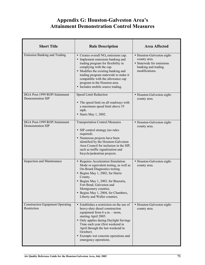# **Appendix G: Houston-Galveston Area's Attainment Demonstration Control Measures**

| <b>Short Title</b>                                       | <b>Rule Description</b>                                                                                                                                                                                                                                                                                                                    | <b>Area Affected</b>                                                                                             |
|----------------------------------------------------------|--------------------------------------------------------------------------------------------------------------------------------------------------------------------------------------------------------------------------------------------------------------------------------------------------------------------------------------------|------------------------------------------------------------------------------------------------------------------|
| <b>Emission Banking and Trading</b>                      | • Creates overall $NOx$ emissions cap.<br>• Implement emissions banking and<br>trading program for flexibility in<br>complying with the cap.<br>• Modifies the existing banking and<br>trading program statewide to make it<br>compatible with the allowance cap<br>program in the Houston area.<br>• Includes mobile source trading.      | • Houston-Galveston eight-<br>county area.<br>• Statewide for emissions<br>banking and trading<br>modifications. |
| HGA Post-1999 ROP/Attainment<br>Demonstration SIP        | Speed Limit Reduction<br>• The speed limit on all roadways with<br>a maximum speed limit above 55<br>mph.<br>• Starts May 1, 2002.                                                                                                                                                                                                         | • Houston-Galveston eight-<br>county area.                                                                       |
| HGA Post-1999 ROP/Attainment<br><b>Demonstration SIP</b> | <b>Transportation Control Measures</b><br>• SIP control strategy (no rules<br>required).<br>• Numerous projects have been<br>identified by the Houston-Galveston<br>Area Council for inclusion in the SIP,<br>such as traffic signalization and<br>bicycle/pedestrian projects.                                                            | • Houston-Galveston eight-<br>county area.                                                                       |
| <b>Inspection and Maintenance</b>                        | • Requires Acceleration Simulation<br>Mode or equivalent testing, as well as<br>On-Board Diagnostics testing.<br>• Begins May 1, 2002, for Harris<br>County.<br>• Begins May 1, 2003, for Brazoria,<br>Fort Bend, Galveston and<br>Montgomery counties.<br>• Begins May 1, 2004, for Chambers,<br>Liberty and Waller counties.             | • Houston-Galveston eight-<br>county area.                                                                       |
| <b>Construction Equipment Operating</b><br>Restriction   | • Establishes a restriction on the use of<br>heavy-duty diesel construction<br>equipment from $6$ a.m. $-$ noon,<br>starting April 2005.<br>• Only applies during Daylight Savings<br>Time each year (first weekend in<br>April through the last weekend in<br>October).<br>• Exempts wet concrete operations and<br>emergency operations. | • Houston-Galveston eight-<br>county area.                                                                       |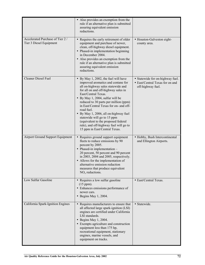|                                                            | • Also provides an exemption from the<br>rule if an alternative plan is submitted<br>assuring equivalent emission<br>reductions.                                                                                                                                                                                                                                                                                                                                                                              |                                                                                          |
|------------------------------------------------------------|---------------------------------------------------------------------------------------------------------------------------------------------------------------------------------------------------------------------------------------------------------------------------------------------------------------------------------------------------------------------------------------------------------------------------------------------------------------------------------------------------------------|------------------------------------------------------------------------------------------|
| Accelerated Purchase of Tier 2/<br>Tier 3 Diesel Equipment | • Requires the early retirement of older<br>equipment and purchase of newer,<br>clean, off-highway diesel equipment.<br>• Phased-in implementation beginning<br>in December 2004.<br>• Also provides an exemption from the<br>rule if an alternative plan is submitted<br>assuring equivalent emission<br>reductions.                                                                                                                                                                                         | • Houston-Galveston eight-<br>county area.                                               |
| Cleaner Diesel Fuel                                        | • By May 1, 2002, the fuel will have<br>improved aromatics and centane for<br>all on-highway sales statewide and<br>for all on and off-highway sales in<br>East/Central Texas.<br>• By May 1, 2004, sulfur will be<br>reduced to 30 parts per million (ppm)<br>in East/Central Texas for on- and off-<br>road fuel.<br>• By May 1, 2006, all on-highway fuel<br>statewide will go to 15 ppm<br>(equivalent to the proposed federal<br>rule), and off-highway fuel will go to<br>15 ppm in East/Central Texas. | • Statewide for on-highway fuel.<br>• East/Central Texas for on and<br>off-highway fuel. |
| Airport Ground Support Equipment                           | • Requires ground support equipment<br>fleets to reduce emissions by 90<br>percent by 2005.<br>• Phased-in implementation -<br>20 percent, 50 percent and 90 percent<br>in 2003, 2004 and 2005, respectively.<br>• Allows for the implementation of<br>alternative emission reduction<br>measures that produce equivalent<br>$NOx$ reductions.                                                                                                                                                                | • Hobby, Bush Intercontinental<br>and Ellington Airports.                                |
| Low Sulfur Gasoline                                        | • Requires a low sulfur gasoline<br>(15 ppm).<br>• Enhances emissions performance of<br>newer cars.<br>$\bullet$ Begins May 1, 2004.                                                                                                                                                                                                                                                                                                                                                                          | • East/Central Texas.                                                                    |
| California Spark-Ignition Engines                          | • Requires manufacturers to ensure that<br>all affected large spark-ignition (LSI)<br>engines are certified under California<br>LSI standards.<br>$\bullet$ Begins May 1, 2004.<br>• Exempts agriculture and construction<br>equipment less than 175 hp,<br>recreational equipment, stationary<br>engines, marine vessels, and<br>equipment on tracks.                                                                                                                                                        | • Statewide.                                                                             |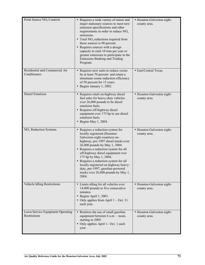| Point Source NO <sub>x</sub> Controls            | • Requires a wide variety of minor and<br>major stationary sources to meet new<br>emission specifications and other<br>requirements in order to reduce $NOx$<br>emissions.<br>• Total $NOx$ reductions required from<br>these sources is 90 percent.<br>• Requires sources with a design<br>capacity to emit 10 tons per year or<br>greater emissions to participate in the<br><b>Emissions Banking and Trading</b><br>Program.                          | • Houston-Galveston eight-<br>county area. |
|--------------------------------------------------|----------------------------------------------------------------------------------------------------------------------------------------------------------------------------------------------------------------------------------------------------------------------------------------------------------------------------------------------------------------------------------------------------------------------------------------------------------|--------------------------------------------|
| Residential and Commercial Air<br>Conditioners   | • Requires new units to reduce ozone<br>by at least 70 percent and retain a<br>minimum ozone reduction efficiency<br>of 50 percent for 15 years.<br>• Begins January 1, 2002.                                                                                                                                                                                                                                                                            | • East/Central Texas.                      |
| <b>Diesel Emulsion</b>                           | • Requires retail on-highway diesel<br>fuel sales for heavy-duty vehicles<br>over 26,000 pounds to be diesel<br>emulsion fuels.<br>• Requires off-highway diesel<br>equipment over 175 hp to use diesel<br>emulsion fuels.<br>$\bullet$ Begins May 1, 2004.                                                                                                                                                                                              | • Houston-Galveston eight-<br>county area. |
| NO <sub>x</sub> Reduction Systems                | • Requires a reduction system for<br>locally registered (Houston-<br>Galveston eight counties) on-<br>highway, pre-1997 diesel trucks over<br>26,000 pounds by May 1, 2004.<br>• Requires a reduction system for all<br>off-highway diesel equipment over<br>175 hp by May 1, 2004.<br>• Requires a reduction system for all<br>locally registered on-highway heavy-<br>duty, pre-1997, gasoline-powered<br>trucks over 26,000 pounds by May 1,<br>2004. | · Houston-Galveston eight-<br>county area. |
| Vehicle Idling Restrictions                      | • Limits idling for all vehicles over<br>14,000 pounds to five consecutive<br>minutes.<br>· Begins April 1, 2001.<br>• Only applies from April $1 - Oct. 31$<br>each year.                                                                                                                                                                                                                                                                               | • Houston-Galveston eight-<br>county area. |
| Lawn Service Equipment Operating<br>Restrictions | • Restricts the use of small gasoline<br>equipment between 6 a.m. - noon,<br>starting in 2005.<br>• Only applies April 1– Oct. 1 each<br>year.                                                                                                                                                                                                                                                                                                           | • Houston-Galveston eight-<br>county area. |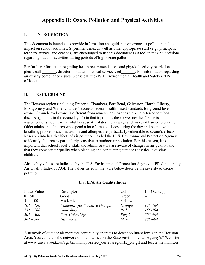# **Appendix H: Ozone Pollution and Physical Activities**

#### **I. INTRODUCTION**

This document is intended to provide information and guidance on ozone air pollution and its impact on school activities. Superintendents, as well as other appropriate staff (e.g., principals, teachers, nurses, and coaches) are encouraged to use this document as a tool in making decisions regarding outdoor activities during periods of high ozone pollution.

For further information regarding health recommendations and physical activity restrictions, please call \_\_\_\_\_\_\_, director of student medical services, tel\_\_\_\_\_\_\_. For information regarding air quality compliance issues, please call the (ISD) Environmental Health and Safety (EHS) office at \_\_\_\_\_\_\_\_\_\_.

#### **II. BACKGROUND**

The Houston region (including Brazoria, Chambers, Fort Bend, Galveston, Harris, Liberty, Montgomery and Waller counties) exceeds federal health-based standards for ground level ozone. Ground-level ozone is different from atmospheric ozone (the kind referred to when discussing "holes in the ozone layer") in that it pollutes the air we breathe. Ozone is a main ingredient of smog. It is harmful because it irritates the airways and makes it harder to breathe. Older adults and children who spend a lot of time outdoors during the day and people with breathing problems such as asthma and allergies are particularly vulnerable to ozone's effects. Research into health effects of air pollution has led the U. S. Environmental Protection Agency to identify children as particularly sensitive to outdoor air pollution. For this reason, it is important that school faculty, staff and administrators are aware of changes in air quality, and that they consider air quality when planning and conducting outdoor activities involving children.

Air quality values are indicated by the U.S. Environmental Protection Agency's (EPA) nationally Air Quality Index or AQI. The values listed in the table below describe the severity of ozone pollution.

| Index Value | Descriptor                     | Color         | 1hr Ozone ppb |
|-------------|--------------------------------|---------------|---------------|
| $0 - 50$    | Good                           | Green         |               |
| $51 - 100$  | Moderate                       | Yellow        | --            |
| $101 - 150$ | Unhealthy for Sensitive Groups | Orange        | $125 - 164$   |
| $151 - 200$ | Unhealthy                      | Red           | $165 - 204$   |
| $201 - 300$ | Very Unhealthy                 | Purple        | 205-404       |
| $301 - 500$ | Hazardous                      | <b>Maroon</b> | 405-604       |

#### **U.S. EPA Air Quality Index**

A network of outdoor air monitors continually operates to detect pollutant levels in the Houston Area. You can view the network on the Internet on the State Environmental Agency's\* Web site at www.tnrcc.state.tx.us/cgi-bin/monops/select\_curlev?region12\_cur.gif and locate the monitors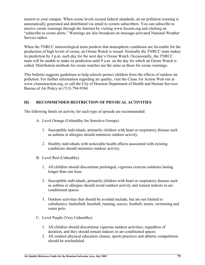nearest to your campus. When ozone levels exceed federal standards, an air pollution warning is automatically generated and distributed via email to system subscribers. You can subscribe to receive ozone warnings through the Internet by visiting www.hcoem.org and clicking on "subscribe to ozone alerts." Warnings are also broadcast on message-activated National Weather Service radios.

When the TNRCC meteorological team predicts that atmospheric conditions are favorable for the production of high levels of ozone, an Ozone Watch is issued. Normally the TNRCC team makes its prediction by 3 p.m. each day for the next day's Ozone Watch. Occasionally, the TNRCC team will be unable to make its prediction until 9 a.m. on the day for which an Ozone Watch is called. Distribution methods for ozone watches are the same as those for ozone warnings.

This bulletin suggests guidelines to help schools protect children from the effects of outdoor air pollution. For further information regarding air quality, visit the Clean Air Action Web site at www.cleanairaction.org, or call the City of Houston Department of Health and Human Services Bureau of Air Policy at (713) 794-9384.

#### **III. RECOMMENDED RESTRICTION OF PHYSICAL ACTIVITIES**

The following limits on activity for each type of episode are recommended:

- A. Level Orange (Unhealthy for Sensitive Groups)
	- 1. Susceptible individuals, primarily children with heart or respiratory disease such as asthma or allergies should minimize outdoor activity.
	- 2. Healthy individuals with noticeable health effects associated with existing conditions should minimize outdoor activity.
- B. Level Red (Unhealthy)
	- 1. All children should discontinue prolonged, vigorous exercise outdoors lasting longer than one hour.
	- 2. Susceptible individuals, primarily children with heart or respiratory disease such as asthma or allergies should avoid outdoor activity and remain indoors in airconditioned spaces.
	- 3. Outdoor activities that should be avoided include, but are not limited to calisthenics, basketball, baseball, running, soccer, football, tennis, swimming and water polo.
- C. Level Purple (Very Unhealthy)
	- 1. All children should discontinue vigorous outdoor activities, regardless of duration, and they should remain indoors in air-conditioned spaces.
	- 2. All outdoor physical education classes, sports practices and athletic competitions should be rescheduled.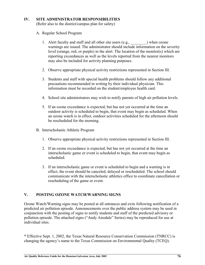#### **IV. SITE ADMINISTRATOR RESPONSIBILITIES**

(Refer also to the district/campus plan for safety)

- A. Regular School Program
	- 1. Alert faculty and staff and all other site users (e.g.,  $\qquad \qquad$  ) when ozone warnings are issued. The administrator should include information on the severity level (orange, red, or purple) in the alert. The location of the monitor(s) which are reporting exceedances as well as the levels reported from the nearest monitors may also be included for activity planning purposes.
	- 2. Observe appropriate physical activity restrictions represented in Section III.
	- 3. Students and staff with special health problems should follow any additional precautions recommended in writing by their individual physician. This information must be recorded on the student/employee health card.
	- 4. School site administrators may wish to notify parents of high air pollution levels.
	- 5. If an ozone exceedance is expected, but has not yet occurred at the time an outdoor activity is scheduled to begin, that event may begin as scheduled. When an ozone watch is in effect, outdoor activities scheduled for the afternoon should be rescheduled for the morning.
- B. Interscholastic Athletic Program
	- 1. Observe appropriate physical activity restrictions represented in Section III.
	- 2. If an ozone exceedance is expected, but has not yet occurred at the time an interscholastic game or event is scheduled to begin, that event may begin as scheduled.
	- 3. If an interscholastic game or event is scheduled to begin and a warning is in effect, the event should be canceled, delayed or rescheduled. The school should communicate with the interscholastic athletics office to coordinate cancellation or rescheduling of the game or event.

#### **V. POSTING OZONE WATCH/WARNING SIGNS**

Ozone Watch/Warning signs may be posted at all entrances and exits following notification of a predicted air pollution episode. Announcements over the public address system may be used in conjunction with the posting of signs to notify students and staff of the predicted advisory or pollution episode. The attached signs ("Andy Airedale" Series) may be reproduced for use at individual sites.

\* Effective Sept. 1, 2002, the Texas Natural Resource Conservation Commission (TNRCC) is changing the agency's name to the Texas Commission on Environmental Quality (TCEQ).